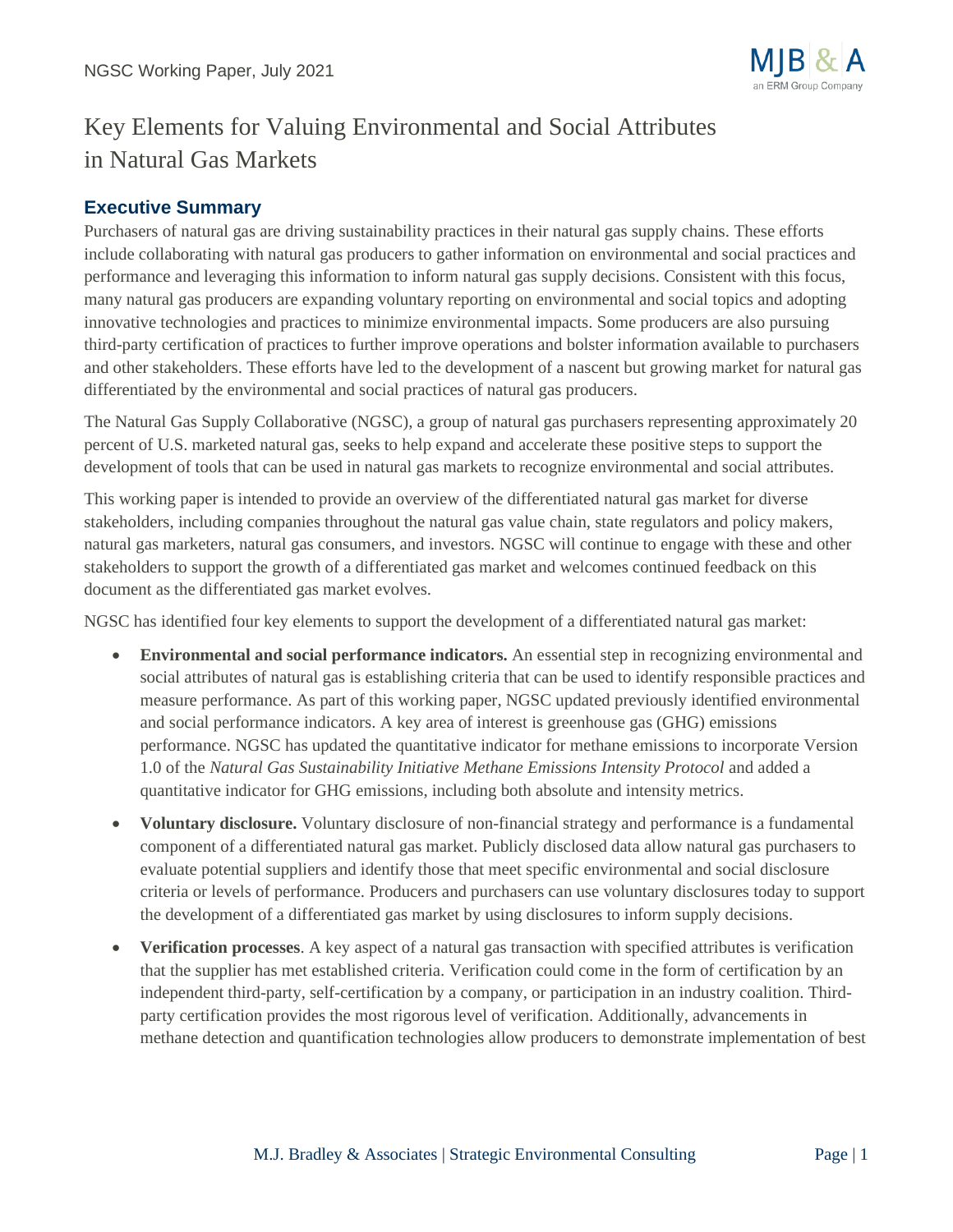

# Key Elements for Valuing Environmental and Social Attributes in Natural Gas Markets

## **Executive Summary**

Purchasers of natural gas are driving sustainability practices in their natural gas supply chains. These efforts include collaborating with natural gas producers to gather information on environmental and social practices and performance and leveraging this information to inform natural gas supply decisions. Consistent with this focus, many natural gas producers are expanding voluntary reporting on environmental and social topics and adopting innovative technologies and practices to minimize environmental impacts. Some producers are also pursuing third-party certification of practices to further improve operations and bolster information available to purchasers and other stakeholders. These efforts have led to the development of a nascent but growing market for natural gas differentiated by the environmental and social practices of natural gas producers.

The Natural Gas Supply Collaborative (NGSC), a group of natural gas purchasers representing approximately 20 percent of U.S. marketed natural gas, seeks to help expand and accelerate these positive steps to support the development of tools that can be used in natural gas markets to recognize environmental and social attributes.

This working paper is intended to provide an overview of the differentiated natural gas market for diverse stakeholders, including companies throughout the natural gas value chain, state regulators and policy makers, natural gas marketers, natural gas consumers, and investors. NGSC will continue to engage with these and other stakeholders to support the growth of a differentiated gas market and welcomes continued feedback on this document as the differentiated gas market evolves.

NGSC has identified four key elements to support the development of a differentiated natural gas market:

- **Environmental and social performance indicators.** An essential step in recognizing environmental and social attributes of natural gas is establishing criteria that can be used to identify responsible practices and measure performance. As part of this working paper, NGSC updated previously identified environmental and social performance indicators. A key area of interest is greenhouse gas (GHG) emissions performance. NGSC has updated the quantitative indicator for methane emissions to incorporate Version 1.0 of the *Natural Gas Sustainability Initiative Methane Emissions Intensity Protocol* and added a quantitative indicator for GHG emissions, including both absolute and intensity metrics.
- **Voluntary disclosure.** Voluntary disclosure of non-financial strategy and performance is a fundamental component of a differentiated natural gas market. Publicly disclosed data allow natural gas purchasers to evaluate potential suppliers and identify those that meet specific environmental and social disclosure criteria or levels of performance. Producers and purchasers can use voluntary disclosures today to support the development of a differentiated gas market by using disclosures to inform supply decisions.
- **Verification processes**. A key aspect of a natural gas transaction with specified attributes is verification that the supplier has met established criteria. Verification could come in the form of certification by an independent third-party, self-certification by a company, or participation in an industry coalition. Thirdparty certification provides the most rigorous level of verification. Additionally, advancements in methane detection and quantification technologies allow producers to demonstrate implementation of best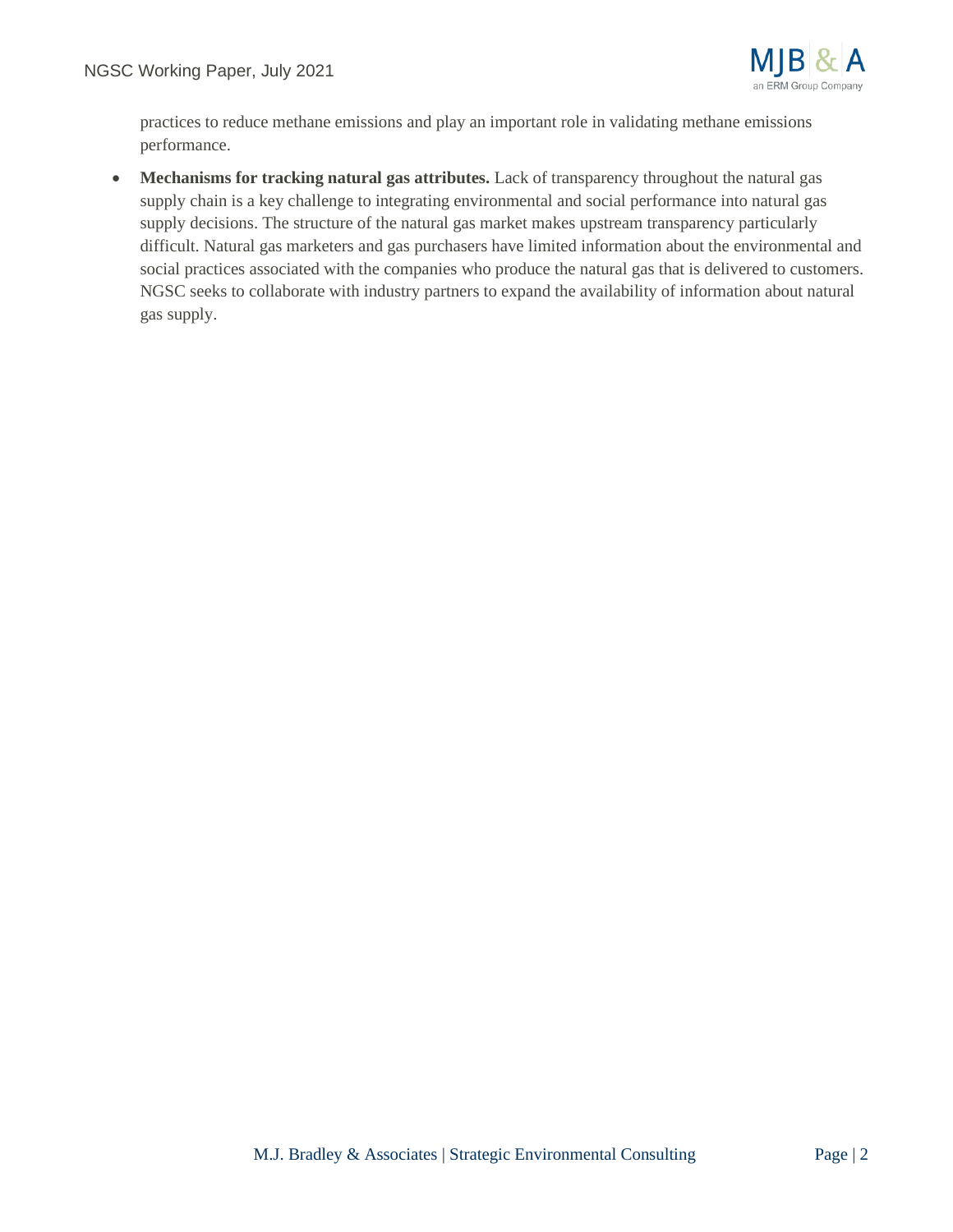

practices to reduce methane emissions and play an important role in validating methane emissions performance.

• **Mechanisms for tracking natural gas attributes.** Lack of transparency throughout the natural gas supply chain is a key challenge to integrating environmental and social performance into natural gas supply decisions. The structure of the natural gas market makes upstream transparency particularly difficult. Natural gas marketers and gas purchasers have limited information about the environmental and social practices associated with the companies who produce the natural gas that is delivered to customers. NGSC seeks to collaborate with industry partners to expand the availability of information about natural gas supply.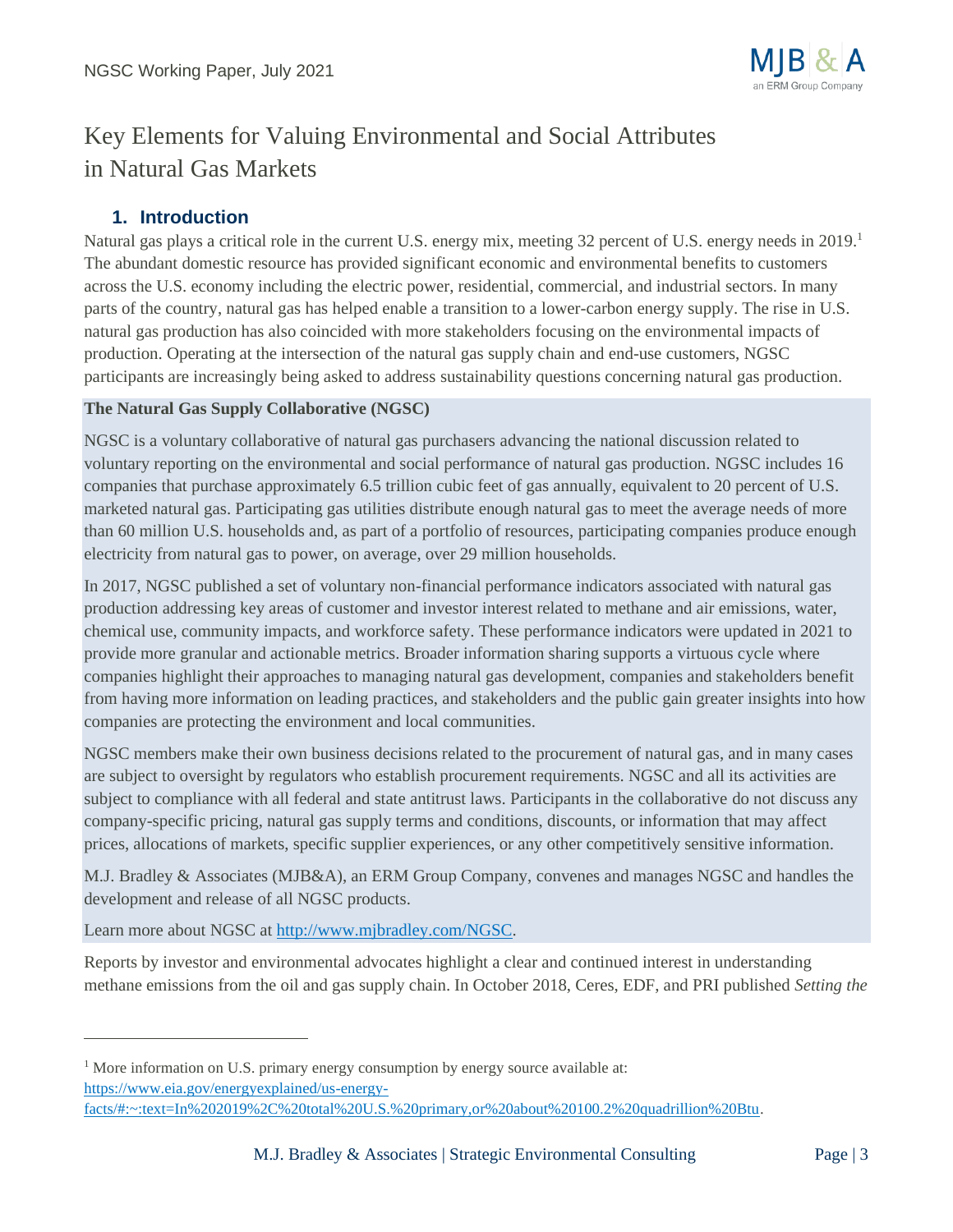

# Key Elements for Valuing Environmental and Social Attributes in Natural Gas Markets

## **1. Introduction**

Natural gas plays a critical role in the current U.S. energy mix, meeting 32 percent of U.S. energy needs in 2019. The abundant domestic resource has provided significant economic and environmental benefits to customers across the U.S. economy including the electric power, residential, commercial, and industrial sectors. In many parts of the country, natural gas has helped enable a transition to a lower-carbon energy supply. The rise in U.S. natural gas production has also coincided with more stakeholders focusing on the environmental impacts of production. Operating at the intersection of the natural gas supply chain and end-use customers, NGSC participants are increasingly being asked to address sustainability questions concerning natural gas production.

### **The Natural Gas Supply Collaborative (NGSC)**

NGSC is a voluntary collaborative of natural gas purchasers advancing the national discussion related to voluntary reporting on the environmental and social performance of natural gas production. NGSC includes 16 companies that purchase approximately 6.5 trillion cubic feet of gas annually, equivalent to 20 percent of U.S. marketed natural gas. Participating gas utilities distribute enough natural gas to meet the average needs of more than 60 million U.S. households and, as part of a portfolio of resources, participating companies produce enough electricity from natural gas to power, on average, over 29 million households.

In 2017, NGSC published a set of voluntary non-financial performance indicators associated with natural gas production addressing key areas of customer and investor interest related to methane and air emissions, water, chemical use, community impacts, and workforce safety. These performance indicators were updated in 2021 to provide more granular and actionable metrics. Broader information sharing supports a virtuous cycle where companies highlight their approaches to managing natural gas development, companies and stakeholders benefit from having more information on leading practices, and stakeholders and the public gain greater insights into how companies are protecting the environment and local communities.

NGSC members make their own business decisions related to the procurement of natural gas, and in many cases are subject to oversight by regulators who establish procurement requirements. NGSC and all its activities are subject to compliance with all federal and state antitrust laws. Participants in the collaborative do not discuss any company-specific pricing, natural gas supply terms and conditions, discounts, or information that may affect prices, allocations of markets, specific supplier experiences, or any other competitively sensitive information.

M.J. Bradley & Associates (MJB&A), an ERM Group Company, convenes and manages NGSC and handles the development and release of all NGSC products.

Learn more about NGSC at [http://www.mjbradley.com/NGSC.](http://www.mjbradley.com/NGSC)

Reports by investor and environmental advocates highlight a clear and continued interest in understanding methane emissions from the oil and gas supply chain. In October 2018, Ceres, EDF, and PRI published *Setting the* 

<sup>&</sup>lt;sup>1</sup> More information on U.S. primary energy consumption by energy source available at: [https://www.eia.gov/energyexplained/us-energy-](https://www.eia.gov/energyexplained/us-energy-facts/#:~:text=In%202019%2C%20total%20U.S.%20primary,or%20about%20100.2%20quadrillion%20Btu)

[facts/#:~:text=In%202019%2C%20total%20U.S.%20primary,or%20about%20100.2%20quadrillion%20Btu.](https://www.eia.gov/energyexplained/us-energy-facts/#:~:text=In%202019%2C%20total%20U.S.%20primary,or%20about%20100.2%20quadrillion%20Btu)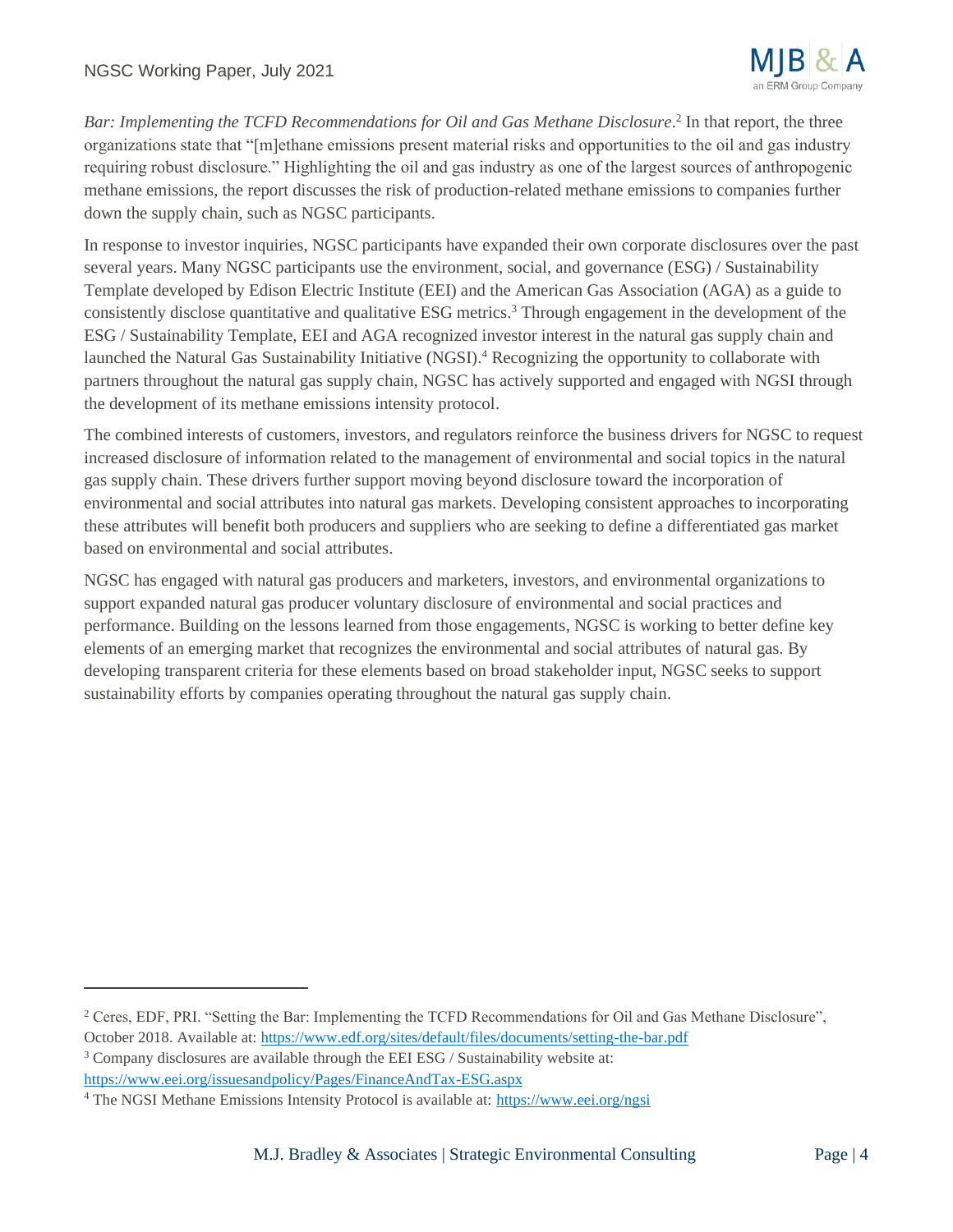

Bar: Implementing the TCFD Recommendations for Oil and Gas Methane Disclosure.<sup>2</sup> In that report, the three organizations state that "[m]ethane emissions present material risks and opportunities to the oil and gas industry requiring robust disclosure." Highlighting the oil and gas industry as one of the largest sources of anthropogenic methane emissions, the report discusses the risk of production-related methane emissions to companies further down the supply chain, such as NGSC participants.

In response to investor inquiries, NGSC participants have expanded their own corporate disclosures over the past several years. Many NGSC participants use the environment, social, and governance (ESG) / Sustainability Template developed by Edison Electric Institute (EEI) and the American Gas Association (AGA) as a guide to consistently disclose quantitative and qualitative ESG metrics.<sup>3</sup> Through engagement in the development of the ESG / Sustainability Template, EEI and AGA recognized investor interest in the natural gas supply chain and launched the Natural Gas Sustainability Initiative (NGSI). <sup>4</sup> Recognizing the opportunity to collaborate with partners throughout the natural gas supply chain, NGSC has actively supported and engaged with NGSI through the development of its methane emissions intensity protocol.

The combined interests of customers, investors, and regulators reinforce the business drivers for NGSC to request increased disclosure of information related to the management of environmental and social topics in the natural gas supply chain. These drivers further support moving beyond disclosure toward the incorporation of environmental and social attributes into natural gas markets. Developing consistent approaches to incorporating these attributes will benefit both producers and suppliers who are seeking to define a differentiated gas market based on environmental and social attributes.

NGSC has engaged with natural gas producers and marketers, investors, and environmental organizations to support expanded natural gas producer voluntary disclosure of environmental and social practices and performance. Building on the lessons learned from those engagements, NGSC is working to better define key elements of an emerging market that recognizes the environmental and social attributes of natural gas. By developing transparent criteria for these elements based on broad stakeholder input, NGSC seeks to support sustainability efforts by companies operating throughout the natural gas supply chain.

<sup>&</sup>lt;sup>2</sup> Ceres, EDF, PRI. "Setting the Bar: Implementing the TCFD Recommendations for Oil and Gas Methane Disclosure", October 2018. Available at[: https://www.edf.org/sites/default/files/documents/setting-the-bar.pdf](https://www.edf.org/sites/default/files/documents/setting-the-bar.pdf)

<sup>3</sup> Company disclosures are available through the EEI ESG / Sustainability website at:

<https://www.eei.org/issuesandpolicy/Pages/FinanceAndTax-ESG.aspx>

<sup>4</sup> The NGSI Methane Emissions Intensity Protocol is available at: <https://www.eei.org/ngsi>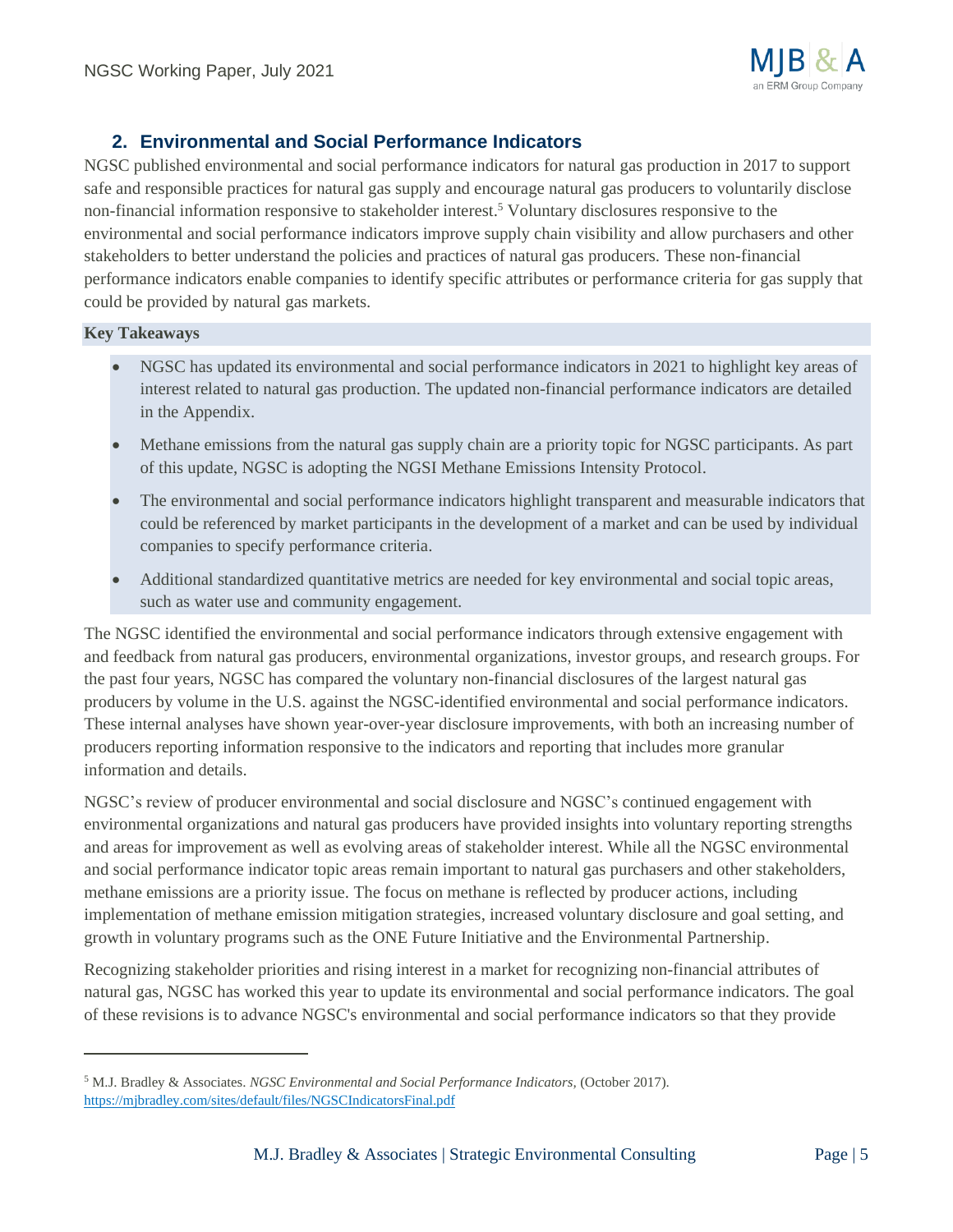

## **2. Environmental and Social Performance Indicators**

NGSC published environmental and social performance indicators for natural gas production in 2017 to support safe and responsible practices for natural gas supply and encourage natural gas producers to voluntarily disclose non-financial information responsive to stakeholder interest. <sup>5</sup> Voluntary disclosures responsive to the environmental and social performance indicators improve supply chain visibility and allow purchasers and other stakeholders to better understand the policies and practices of natural gas producers. These non-financial performance indicators enable companies to identify specific attributes or performance criteria for gas supply that could be provided by natural gas markets.

#### **Key Takeaways**

- NGSC has updated its environmental and social performance indicators in 2021 to highlight key areas of interest related to natural gas production. The updated non-financial performance indicators are detailed in the Appendix.
- Methane emissions from the natural gas supply chain are a priority topic for NGSC participants. As part of this update, NGSC is adopting the NGSI Methane Emissions Intensity Protocol.
- The environmental and social performance indicators highlight transparent and measurable indicators that could be referenced by market participants in the development of a market and can be used by individual companies to specify performance criteria.
- Additional standardized quantitative metrics are needed for key environmental and social topic areas, such as water use and community engagement.

The NGSC identified the environmental and social performance indicators through extensive engagement with and feedback from natural gas producers, environmental organizations, investor groups, and research groups. For the past four years, NGSC has compared the voluntary non-financial disclosures of the largest natural gas producers by volume in the U.S. against the NGSC-identified environmental and social performance indicators. These internal analyses have shown year-over-year disclosure improvements, with both an increasing number of producers reporting information responsive to the indicators and reporting that includes more granular information and details.

NGSC's review of producer environmental and social disclosure and NGSC's continued engagement with environmental organizations and natural gas producers have provided insights into voluntary reporting strengths and areas for improvement as well as evolving areas of stakeholder interest. While all the NGSC environmental and social performance indicator topic areas remain important to natural gas purchasers and other stakeholders, methane emissions are a priority issue. The focus on methane is reflected by producer actions, including implementation of methane emission mitigation strategies, increased voluntary disclosure and goal setting, and growth in voluntary programs such as the ONE Future Initiative and the Environmental Partnership.

Recognizing stakeholder priorities and rising interest in a market for recognizing non-financial attributes of natural gas, NGSC has worked this year to update its environmental and social performance indicators. The goal of these revisions is to advance NGSC's environmental and social performance indicators so that they provide

<sup>5</sup> M.J. Bradley & Associates. *NGSC Environmental and Social Performance Indicators,* (October 2017). <https://mjbradley.com/sites/default/files/NGSCIndicatorsFinal.pdf>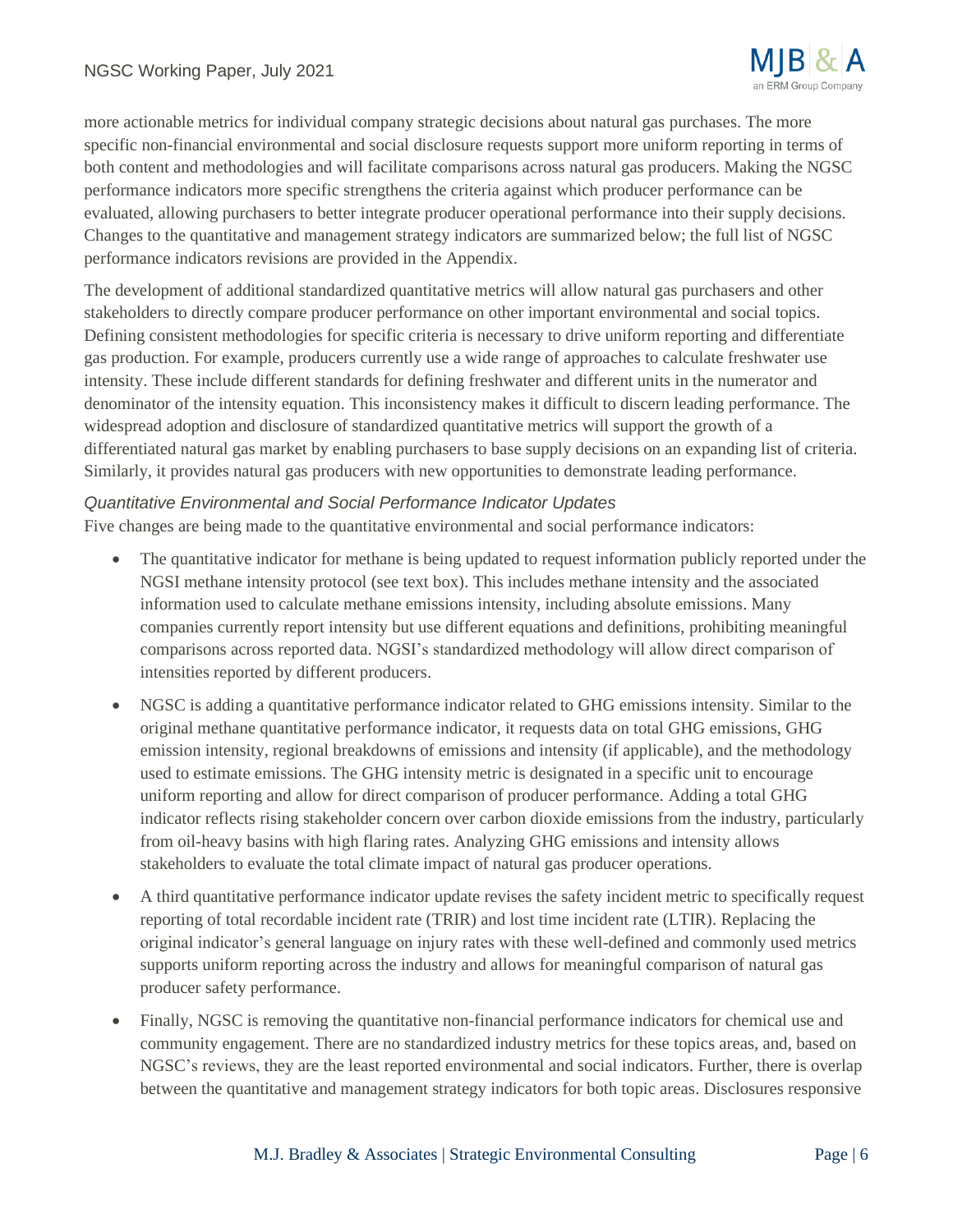

more actionable metrics for individual company strategic decisions about natural gas purchases. The more specific non-financial environmental and social disclosure requests support more uniform reporting in terms of both content and methodologies and will facilitate comparisons across natural gas producers. Making the NGSC performance indicators more specific strengthens the criteria against which producer performance can be evaluated, allowing purchasers to better integrate producer operational performance into their supply decisions. Changes to the quantitative and management strategy indicators are summarized below; the full list of NGSC performance indicators revisions are provided in the Appendix.

The development of additional standardized quantitative metrics will allow natural gas purchasers and other stakeholders to directly compare producer performance on other important environmental and social topics. Defining consistent methodologies for specific criteria is necessary to drive uniform reporting and differentiate gas production. For example, producers currently use a wide range of approaches to calculate freshwater use intensity. These include different standards for defining freshwater and different units in the numerator and denominator of the intensity equation. This inconsistency makes it difficult to discern leading performance. The widespread adoption and disclosure of standardized quantitative metrics will support the growth of a differentiated natural gas market by enabling purchasers to base supply decisions on an expanding list of criteria. Similarly, it provides natural gas producers with new opportunities to demonstrate leading performance.

#### *Quantitative Environmental and Social Performance Indicator Updates*

Five changes are being made to the quantitative environmental and social performance indicators:

- The quantitative indicator for methane is being updated to request information publicly reported under the NGSI methane intensity protocol (see text box). This includes methane intensity and the associated information used to calculate methane emissions intensity, including absolute emissions. Many companies currently report intensity but use different equations and definitions, prohibiting meaningful comparisons across reported data. NGSI's standardized methodology will allow direct comparison of intensities reported by different producers.
- NGSC is adding a quantitative performance indicator related to GHG emissions intensity. Similar to the original methane quantitative performance indicator, it requests data on total GHG emissions, GHG emission intensity, regional breakdowns of emissions and intensity (if applicable), and the methodology used to estimate emissions. The GHG intensity metric is designated in a specific unit to encourage uniform reporting and allow for direct comparison of producer performance. Adding a total GHG indicator reflects rising stakeholder concern over carbon dioxide emissions from the industry, particularly from oil-heavy basins with high flaring rates. Analyzing GHG emissions and intensity allows stakeholders to evaluate the total climate impact of natural gas producer operations.
- A third quantitative performance indicator update revises the safety incident metric to specifically request reporting of total recordable incident rate (TRIR) and lost time incident rate (LTIR). Replacing the original indicator's general language on injury rates with these well-defined and commonly used metrics supports uniform reporting across the industry and allows for meaningful comparison of natural gas producer safety performance.
- Finally, NGSC is removing the quantitative non-financial performance indicators for chemical use and community engagement. There are no standardized industry metrics for these topics areas, and, based on NGSC's reviews, they are the least reported environmental and social indicators. Further, there is overlap between the quantitative and management strategy indicators for both topic areas. Disclosures responsive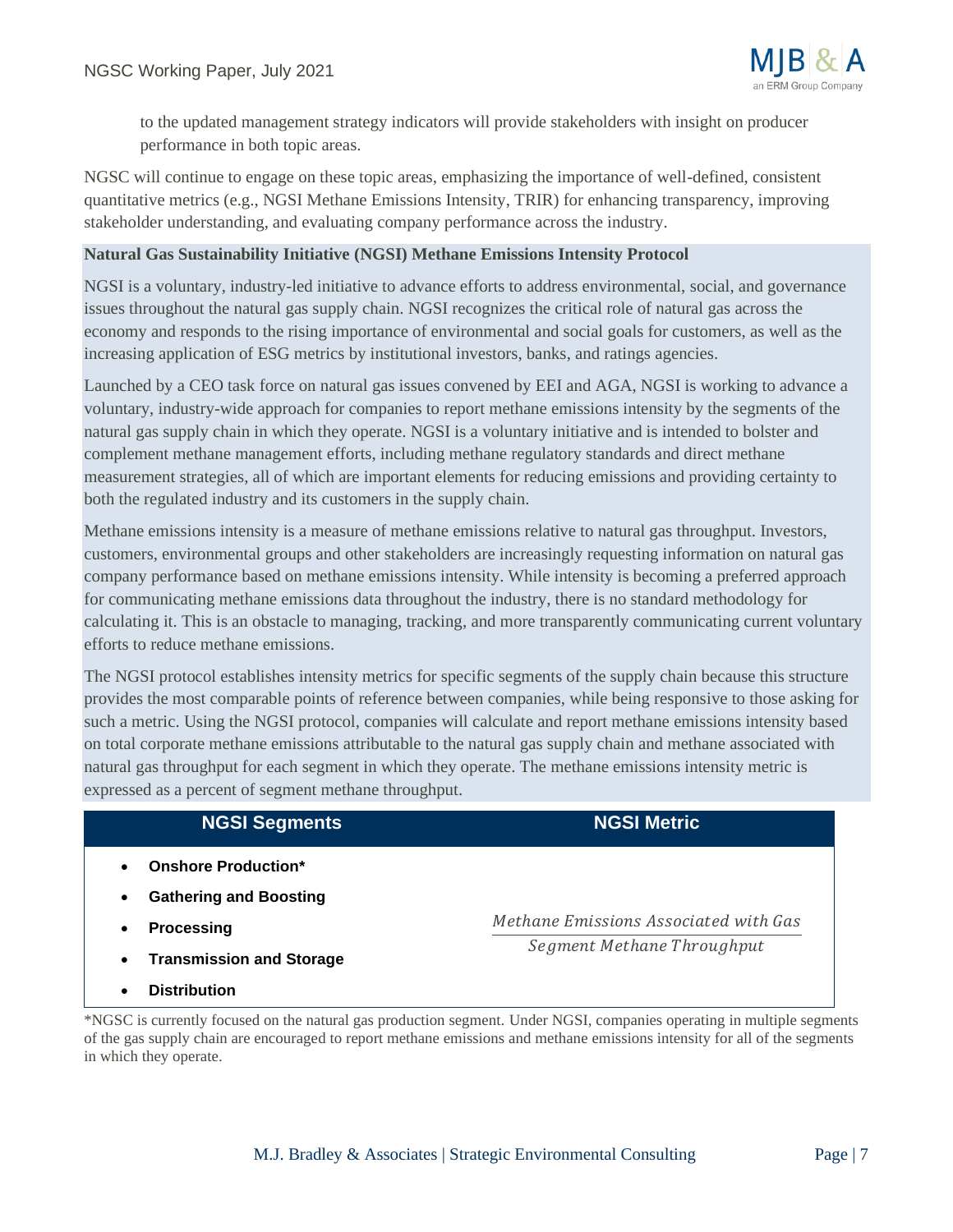

to the updated management strategy indicators will provide stakeholders with insight on producer performance in both topic areas.

NGSC will continue to engage on these topic areas, emphasizing the importance of well-defined, consistent quantitative metrics (e.g., NGSI Methane Emissions Intensity, TRIR) for enhancing transparency, improving stakeholder understanding, and evaluating company performance across the industry.

#### **Natural Gas Sustainability Initiative (NGSI) Methane Emissions Intensity Protocol**

NGSI is a voluntary, industry-led initiative to advance efforts to address environmental, social, and governance issues throughout the natural gas supply chain. NGSI recognizes the critical role of natural gas across the economy and responds to the rising importance of environmental and social goals for customers, as well as the increasing application of ESG metrics by institutional investors, banks, and ratings agencies.

Launched by a CEO task force on natural gas issues convened by EEI and AGA, NGSI is working to advance a voluntary, industry-wide approach for companies to report methane emissions intensity by the segments of the natural gas supply chain in which they operate. NGSI is a voluntary initiative and is intended to bolster and complement methane management efforts, including methane regulatory standards and direct methane measurement strategies, all of which are important elements for reducing emissions and providing certainty to both the regulated industry and its customers in the supply chain.

Methane emissions intensity is a measure of methane emissions relative to natural gas throughput. Investors, customers, environmental groups and other stakeholders are increasingly requesting information on natural gas company performance based on methane emissions intensity. While intensity is becoming a preferred approach for communicating methane emissions data throughout the industry, there is no standard methodology for calculating it. This is an obstacle to managing, tracking, and more transparently communicating current voluntary efforts to reduce methane emissions.

The NGSI protocol establishes intensity metrics for specific segments of the supply chain because this structure provides the most comparable points of reference between companies, while being responsive to those asking for such a metric. Using the NGSI protocol, companies will calculate and report methane emissions intensity based on total corporate methane emissions attributable to the natural gas supply chain and methane associated with natural gas throughput for each segment in which they operate. The methane emissions intensity metric is expressed as a percent of segment methane throughput.

# **NGSI Segments NGSI Metric**

- **Onshore Production\***
- **Gathering and Boosting**
- **Processing**
- **Transmission and Storage**
- **Distribution**

\*NGSC is currently focused on the natural gas production segment. Under NGSI, companies operating in multiple segments of the gas supply chain are encouraged to report methane emissions and methane emissions intensity for all of the segments in which they operate.

Methane Emissions Associated with Gas Segment Methane Throughput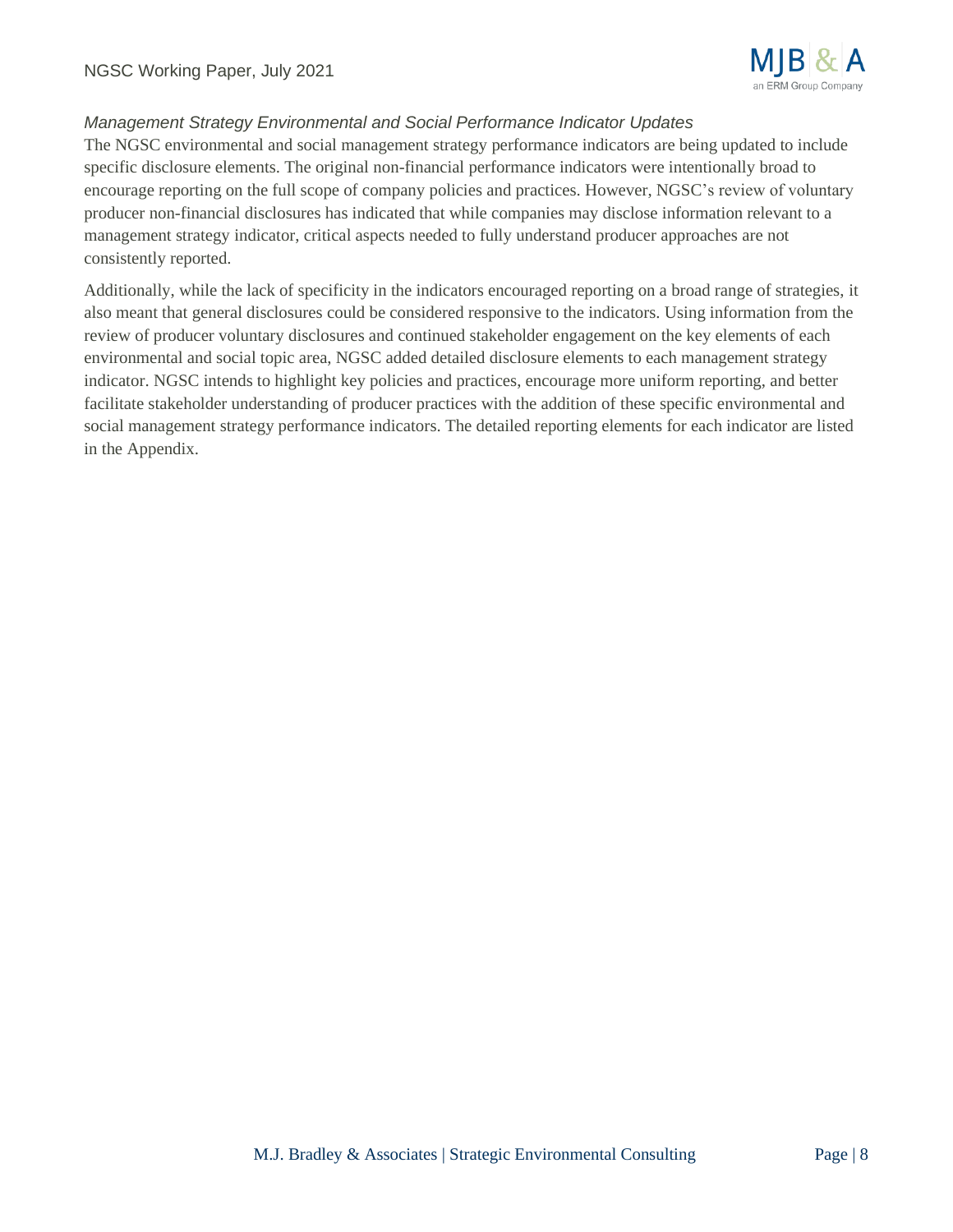

## *Management Strategy Environmental and Social Performance Indicator Updates*

The NGSC environmental and social management strategy performance indicators are being updated to include specific disclosure elements. The original non-financial performance indicators were intentionally broad to encourage reporting on the full scope of company policies and practices. However, NGSC's review of voluntary producer non-financial disclosures has indicated that while companies may disclose information relevant to a management strategy indicator, critical aspects needed to fully understand producer approaches are not consistently reported.

Additionally, while the lack of specificity in the indicators encouraged reporting on a broad range of strategies, it also meant that general disclosures could be considered responsive to the indicators. Using information from the review of producer voluntary disclosures and continued stakeholder engagement on the key elements of each environmental and social topic area, NGSC added detailed disclosure elements to each management strategy indicator. NGSC intends to highlight key policies and practices, encourage more uniform reporting, and better facilitate stakeholder understanding of producer practices with the addition of these specific environmental and social management strategy performance indicators. The detailed reporting elements for each indicator are listed in the Appendix.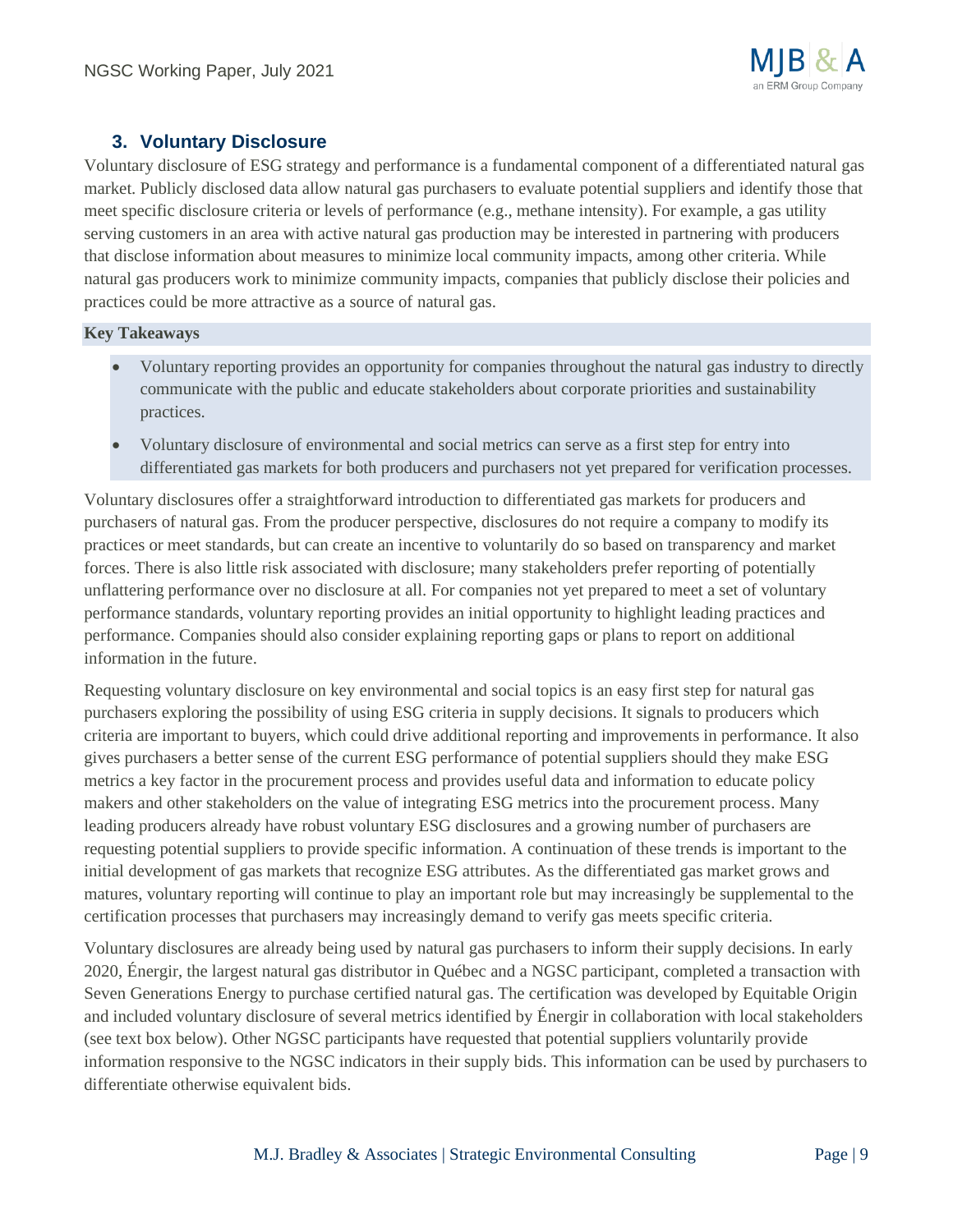## **3. Voluntary Disclosure**

Voluntary disclosure of ESG strategy and performance is a fundamental component of a differentiated natural gas market. Publicly disclosed data allow natural gas purchasers to evaluate potential suppliers and identify those that meet specific disclosure criteria or levels of performance (e.g., methane intensity). For example, a gas utility serving customers in an area with active natural gas production may be interested in partnering with producers that disclose information about measures to minimize local community impacts, among other criteria. While natural gas producers work to minimize community impacts, companies that publicly disclose their policies and practices could be more attractive as a source of natural gas.

#### **Key Takeaways**

- Voluntary reporting provides an opportunity for companies throughout the natural gas industry to directly communicate with the public and educate stakeholders about corporate priorities and sustainability practices.
- Voluntary disclosure of environmental and social metrics can serve as a first step for entry into differentiated gas markets for both producers and purchasers not yet prepared for verification processes.

Voluntary disclosures offer a straightforward introduction to differentiated gas markets for producers and purchasers of natural gas. From the producer perspective, disclosures do not require a company to modify its practices or meet standards, but can create an incentive to voluntarily do so based on transparency and market forces. There is also little risk associated with disclosure; many stakeholders prefer reporting of potentially unflattering performance over no disclosure at all. For companies not yet prepared to meet a set of voluntary performance standards, voluntary reporting provides an initial opportunity to highlight leading practices and performance. Companies should also consider explaining reporting gaps or plans to report on additional information in the future.

Requesting voluntary disclosure on key environmental and social topics is an easy first step for natural gas purchasers exploring the possibility of using ESG criteria in supply decisions. It signals to producers which criteria are important to buyers, which could drive additional reporting and improvements in performance. It also gives purchasers a better sense of the current ESG performance of potential suppliers should they make ESG metrics a key factor in the procurement process and provides useful data and information to educate policy makers and other stakeholders on the value of integrating ESG metrics into the procurement process. Many leading producers already have robust voluntary ESG disclosures and a growing number of purchasers are requesting potential suppliers to provide specific information. A continuation of these trends is important to the initial development of gas markets that recognize ESG attributes. As the differentiated gas market grows and matures, voluntary reporting will continue to play an important role but may increasingly be supplemental to the certification processes that purchasers may increasingly demand to verify gas meets specific criteria.

Voluntary disclosures are already being used by natural gas purchasers to inform their supply decisions. In early 2020, Énergir, the largest natural gas distributor in Québec and a NGSC participant, completed a transaction with Seven Generations Energy to purchase certified natural gas. The certification was developed by Equitable Origin and included voluntary disclosure of several metrics identified by Énergir in collaboration with local stakeholders (see text box below). Other NGSC participants have requested that potential suppliers voluntarily provide information responsive to the NGSC indicators in their supply bids. This information can be used by purchasers to differentiate otherwise equivalent bids.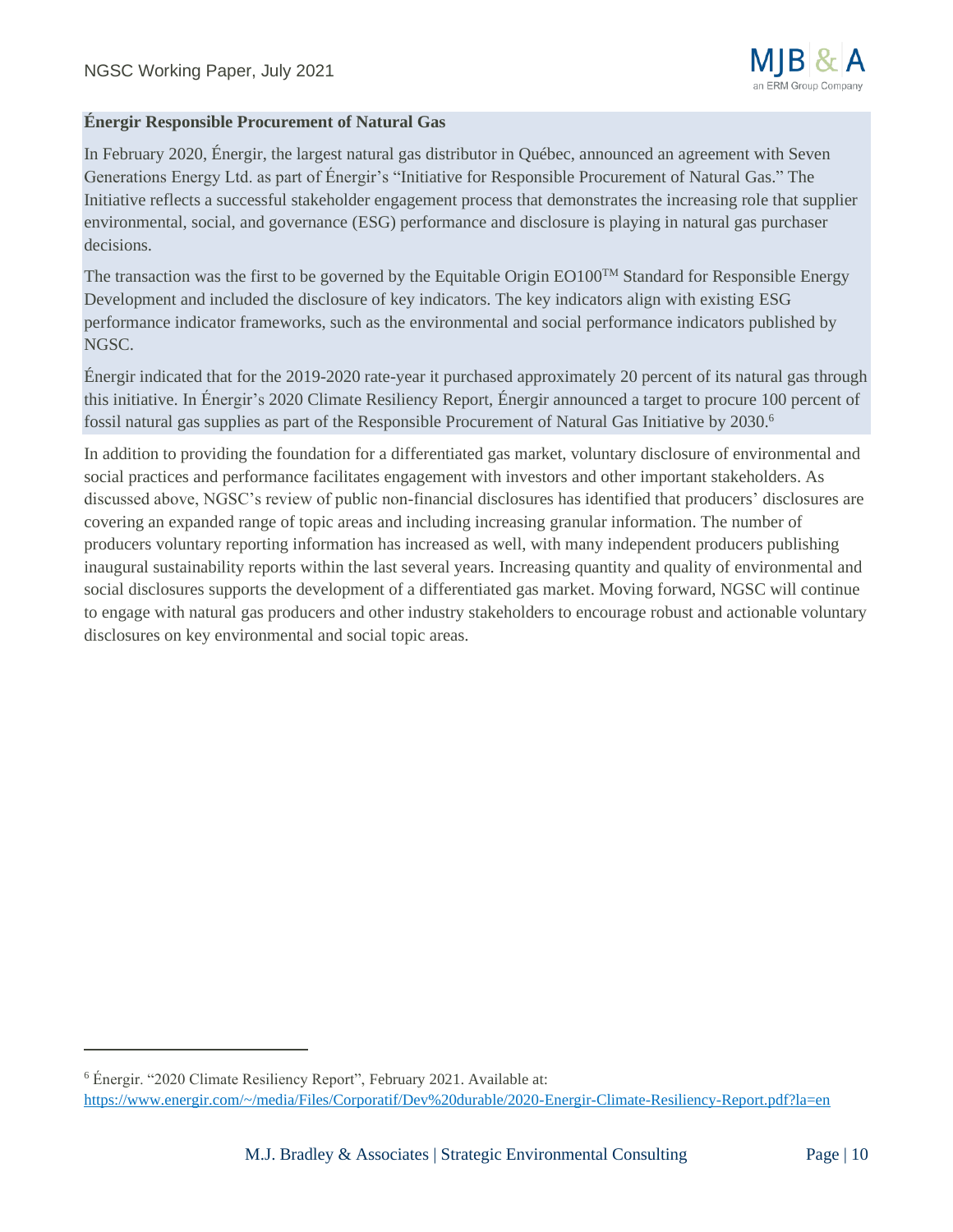#### **Énergir Responsible Procurement of Natural Gas**

In February 2020, Énergir, the largest natural gas distributor in Québec, announced an agreement with Seven Generations Energy Ltd. as part of Énergir's "Initiative for Responsible Procurement of Natural Gas." The Initiative reflects a successful stakeholder engagement process that demonstrates the increasing role that supplier environmental, social, and governance (ESG) performance and disclosure is playing in natural gas purchaser decisions.

The transaction was the first to be governed by the Equitable Origin EO100<sup>TM</sup> Standard for Responsible Energy Development and included the disclosure of key indicators. The key indicators align with existing ESG performance indicator frameworks, such as the environmental and social performance indicators published by NGSC.

Énergir indicated that for the 2019-2020 rate-year it purchased approximately 20 percent of its natural gas through this initiative. In Énergir's 2020 Climate Resiliency Report, Énergir announced a target to procure 100 percent of fossil natural gas supplies as part of the Responsible Procurement of Natural Gas Initiative by 2030.<sup>6</sup>

In addition to providing the foundation for a differentiated gas market, voluntary disclosure of environmental and social practices and performance facilitates engagement with investors and other important stakeholders. As discussed above, NGSC's review of public non-financial disclosures has identified that producers' disclosures are covering an expanded range of topic areas and including increasing granular information. The number of producers voluntary reporting information has increased as well, with many independent producers publishing inaugural sustainability reports within the last several years. Increasing quantity and quality of environmental and social disclosures supports the development of a differentiated gas market. Moving forward, NGSC will continue to engage with natural gas producers and other industry stakeholders to encourage robust and actionable voluntary disclosures on key environmental and social topic areas.

<sup>6</sup> Énergir. "2020 Climate Resiliency Report", February 2021. Available at: <https://www.energir.com/~/media/Files/Corporatif/Dev%20durable/2020-Energir-Climate-Resiliency-Report.pdf?la=en>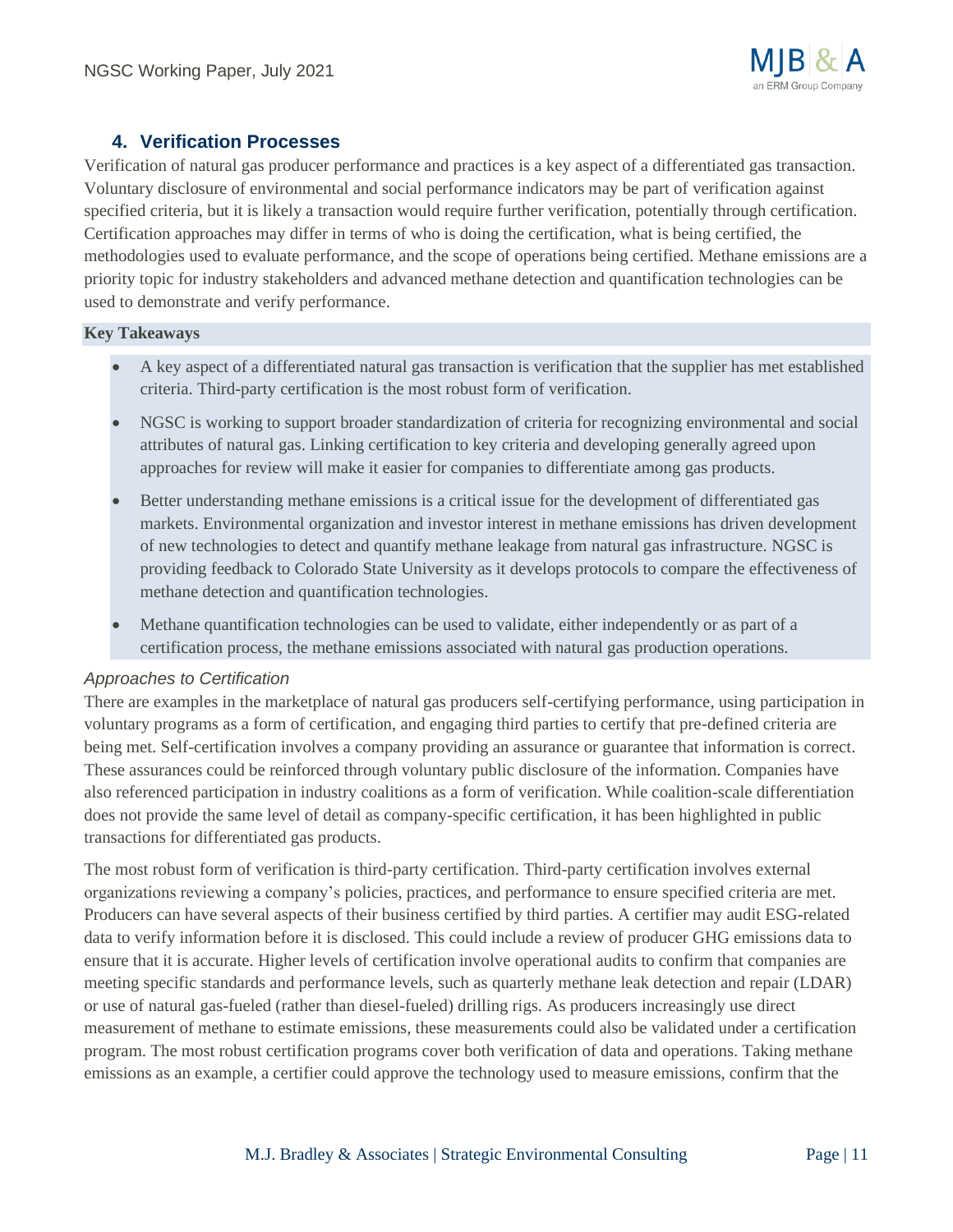

## **4. Verification Processes**

Verification of natural gas producer performance and practices is a key aspect of a differentiated gas transaction. Voluntary disclosure of environmental and social performance indicators may be part of verification against specified criteria, but it is likely a transaction would require further verification, potentially through certification. Certification approaches may differ in terms of who is doing the certification, what is being certified, the methodologies used to evaluate performance, and the scope of operations being certified. Methane emissions are a priority topic for industry stakeholders and advanced methane detection and quantification technologies can be used to demonstrate and verify performance.

#### **Key Takeaways**

- A key aspect of a differentiated natural gas transaction is verification that the supplier has met established criteria. Third-party certification is the most robust form of verification.
- NGSC is working to support broader standardization of criteria for recognizing environmental and social attributes of natural gas. Linking certification to key criteria and developing generally agreed upon approaches for review will make it easier for companies to differentiate among gas products.
- Better understanding methane emissions is a critical issue for the development of differentiated gas markets. Environmental organization and investor interest in methane emissions has driven development of new technologies to detect and quantify methane leakage from natural gas infrastructure. NGSC is providing feedback to Colorado State University as it develops protocols to compare the effectiveness of methane detection and quantification technologies.
- Methane quantification technologies can be used to validate, either independently or as part of a certification process, the methane emissions associated with natural gas production operations.

#### *Approaches to Certification*

There are examples in the marketplace of natural gas producers self-certifying performance, using participation in voluntary programs as a form of certification, and engaging third parties to certify that pre-defined criteria are being met. Self-certification involves a company providing an assurance or guarantee that information is correct. These assurances could be reinforced through voluntary public disclosure of the information. Companies have also referenced participation in industry coalitions as a form of verification. While coalition-scale differentiation does not provide the same level of detail as company-specific certification, it has been highlighted in public transactions for differentiated gas products.

The most robust form of verification is third-party certification. Third-party certification involves external organizations reviewing a company's policies, practices, and performance to ensure specified criteria are met. Producers can have several aspects of their business certified by third parties. A certifier may audit ESG-related data to verify information before it is disclosed. This could include a review of producer GHG emissions data to ensure that it is accurate. Higher levels of certification involve operational audits to confirm that companies are meeting specific standards and performance levels, such as quarterly methane leak detection and repair (LDAR) or use of natural gas-fueled (rather than diesel-fueled) drilling rigs. As producers increasingly use direct measurement of methane to estimate emissions, these measurements could also be validated under a certification program. The most robust certification programs cover both verification of data and operations. Taking methane emissions as an example, a certifier could approve the technology used to measure emissions, confirm that the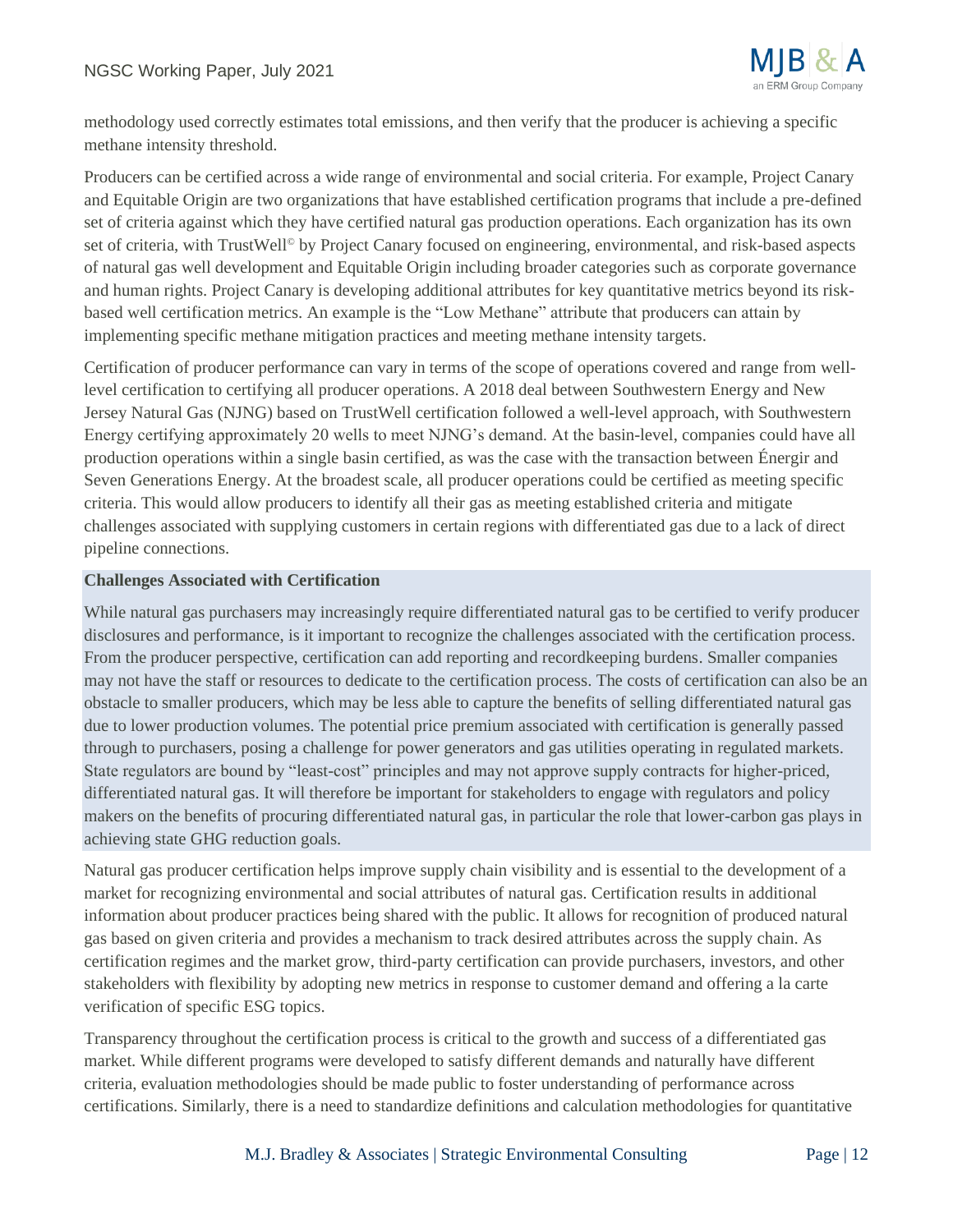

methodology used correctly estimates total emissions, and then verify that the producer is achieving a specific methane intensity threshold.

Producers can be certified across a wide range of environmental and social criteria. For example, Project Canary and Equitable Origin are two organizations that have established certification programs that include a pre-defined set of criteria against which they have certified natural gas production operations. Each organization has its own set of criteria, with TrustWell<sup>®</sup> by Project Canary focused on engineering, environmental, and risk-based aspects of natural gas well development and Equitable Origin including broader categories such as corporate governance and human rights. Project Canary is developing additional attributes for key quantitative metrics beyond its riskbased well certification metrics. An example is the "Low Methane" attribute that producers can attain by implementing specific methane mitigation practices and meeting methane intensity targets.

Certification of producer performance can vary in terms of the scope of operations covered and range from welllevel certification to certifying all producer operations. A 2018 deal between Southwestern Energy and New Jersey Natural Gas (NJNG) based on TrustWell certification followed a well-level approach, with Southwestern Energy certifying approximately 20 wells to meet NJNG's demand. At the basin-level, companies could have all production operations within a single basin certified, as was the case with the transaction between Énergir and Seven Generations Energy. At the broadest scale, all producer operations could be certified as meeting specific criteria. This would allow producers to identify all their gas as meeting established criteria and mitigate challenges associated with supplying customers in certain regions with differentiated gas due to a lack of direct pipeline connections.

#### **Challenges Associated with Certification**

While natural gas purchasers may increasingly require differentiated natural gas to be certified to verify producer disclosures and performance, is it important to recognize the challenges associated with the certification process. From the producer perspective, certification can add reporting and recordkeeping burdens. Smaller companies may not have the staff or resources to dedicate to the certification process. The costs of certification can also be an obstacle to smaller producers, which may be less able to capture the benefits of selling differentiated natural gas due to lower production volumes. The potential price premium associated with certification is generally passed through to purchasers, posing a challenge for power generators and gas utilities operating in regulated markets. State regulators are bound by "least-cost" principles and may not approve supply contracts for higher-priced, differentiated natural gas. It will therefore be important for stakeholders to engage with regulators and policy makers on the benefits of procuring differentiated natural gas, in particular the role that lower-carbon gas plays in achieving state GHG reduction goals.

Natural gas producer certification helps improve supply chain visibility and is essential to the development of a market for recognizing environmental and social attributes of natural gas. Certification results in additional information about producer practices being shared with the public. It allows for recognition of produced natural gas based on given criteria and provides a mechanism to track desired attributes across the supply chain. As certification regimes and the market grow, third-party certification can provide purchasers, investors, and other stakeholders with flexibility by adopting new metrics in response to customer demand and offering a la carte verification of specific ESG topics.

Transparency throughout the certification process is critical to the growth and success of a differentiated gas market. While different programs were developed to satisfy different demands and naturally have different criteria, evaluation methodologies should be made public to foster understanding of performance across certifications. Similarly, there is a need to standardize definitions and calculation methodologies for quantitative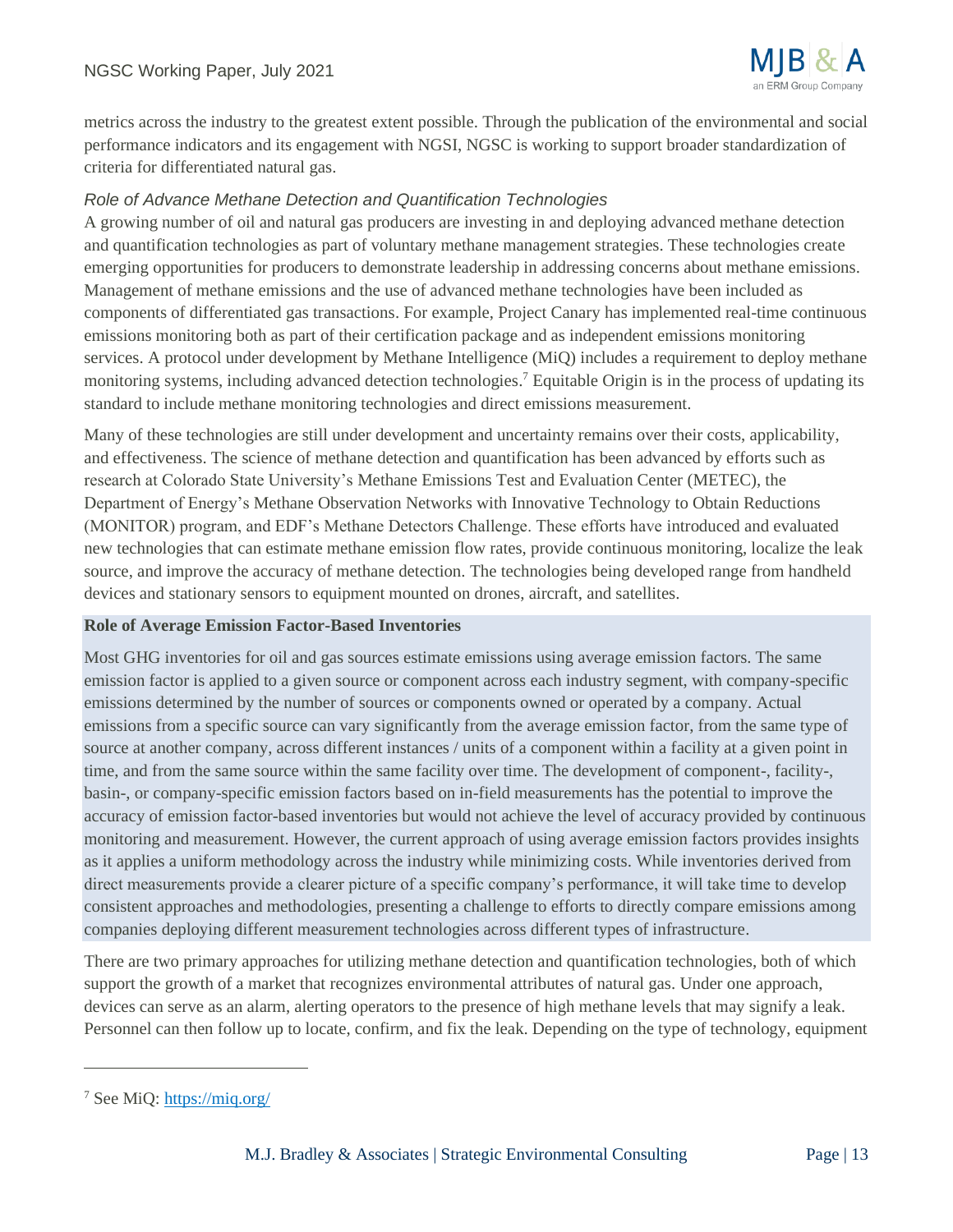

metrics across the industry to the greatest extent possible. Through the publication of the environmental and social performance indicators and its engagement with NGSI, NGSC is working to support broader standardization of criteria for differentiated natural gas.

### *Role of Advance Methane Detection and Quantification Technologies*

A growing number of oil and natural gas producers are investing in and deploying advanced methane detection and quantification technologies as part of voluntary methane management strategies. These technologies create emerging opportunities for producers to demonstrate leadership in addressing concerns about methane emissions. Management of methane emissions and the use of advanced methane technologies have been included as components of differentiated gas transactions. For example, Project Canary has implemented real-time continuous emissions monitoring both as part of their certification package and as independent emissions monitoring services. A protocol under development by Methane Intelligence (MiQ) includes a requirement to deploy methane monitoring systems, including advanced detection technologies. <sup>7</sup> Equitable Origin is in the process of updating its standard to include methane monitoring technologies and direct emissions measurement.

Many of these technologies are still under development and uncertainty remains over their costs, applicability, and effectiveness. The science of methane detection and quantification has been advanced by efforts such as research at Colorado State University's Methane Emissions Test and Evaluation Center (METEC), the Department of Energy's Methane Observation Networks with Innovative Technology to Obtain Reductions (MONITOR) program, and EDF's Methane Detectors Challenge. These efforts have introduced and evaluated new technologies that can estimate methane emission flow rates, provide continuous monitoring, localize the leak source, and improve the accuracy of methane detection. The technologies being developed range from handheld devices and stationary sensors to equipment mounted on drones, aircraft, and satellites.

#### **Role of Average Emission Factor-Based Inventories**

Most GHG inventories for oil and gas sources estimate emissions using average emission factors. The same emission factor is applied to a given source or component across each industry segment, with company-specific emissions determined by the number of sources or components owned or operated by a company. Actual emissions from a specific source can vary significantly from the average emission factor, from the same type of source at another company, across different instances / units of a component within a facility at a given point in time, and from the same source within the same facility over time. The development of component-, facility-, basin-, or company-specific emission factors based on in-field measurements has the potential to improve the accuracy of emission factor-based inventories but would not achieve the level of accuracy provided by continuous monitoring and measurement. However, the current approach of using average emission factors provides insights as it applies a uniform methodology across the industry while minimizing costs. While inventories derived from direct measurements provide a clearer picture of a specific company's performance, it will take time to develop consistent approaches and methodologies, presenting a challenge to efforts to directly compare emissions among companies deploying different measurement technologies across different types of infrastructure.

There are two primary approaches for utilizing methane detection and quantification technologies, both of which support the growth of a market that recognizes environmental attributes of natural gas. Under one approach, devices can serve as an alarm, alerting operators to the presence of high methane levels that may signify a leak. Personnel can then follow up to locate, confirm, and fix the leak. Depending on the type of technology, equipment

<sup>7</sup> See MiQ:<https://miq.org/>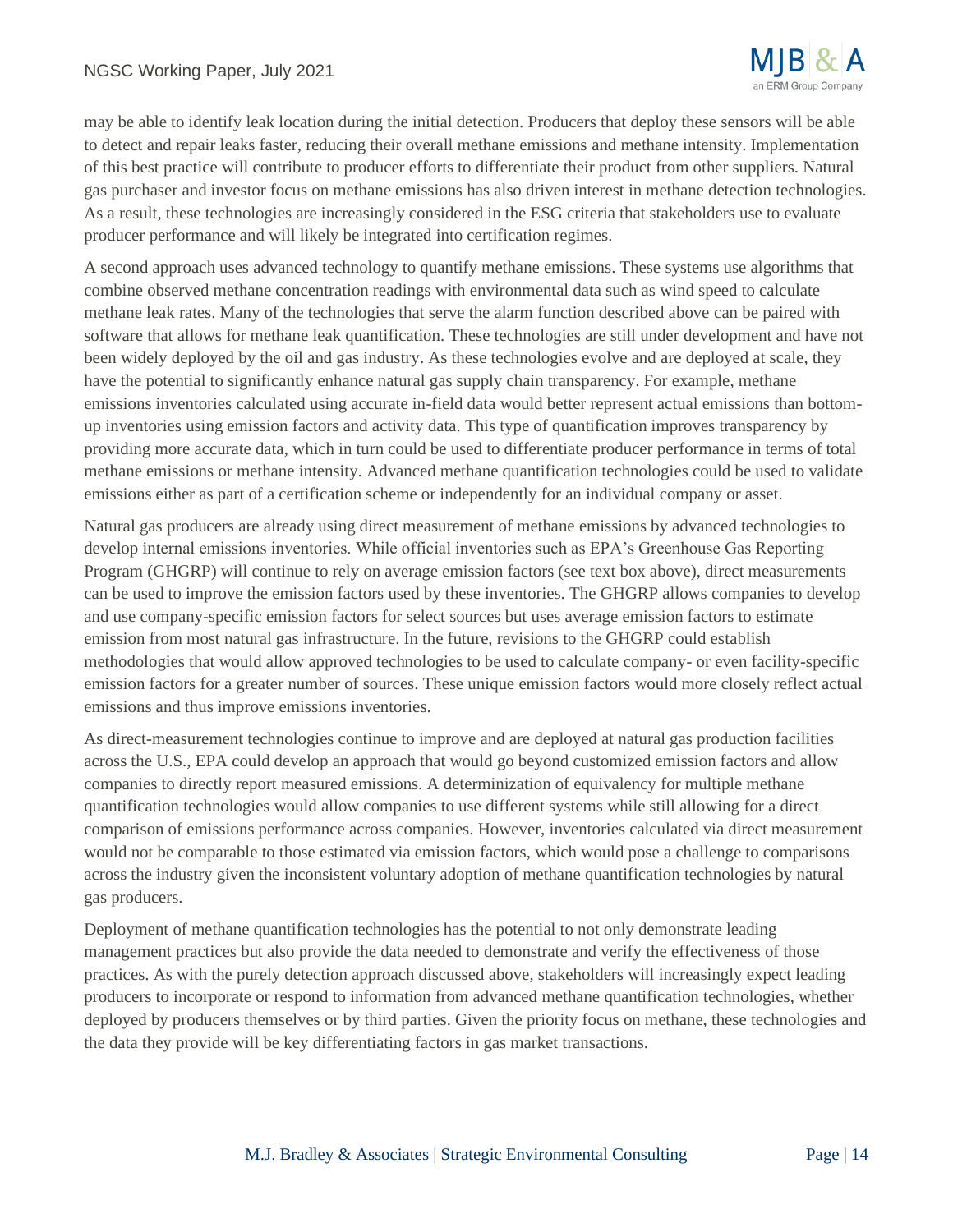

may be able to identify leak location during the initial detection. Producers that deploy these sensors will be able to detect and repair leaks faster, reducing their overall methane emissions and methane intensity. Implementation of this best practice will contribute to producer efforts to differentiate their product from other suppliers. Natural gas purchaser and investor focus on methane emissions has also driven interest in methane detection technologies. As a result, these technologies are increasingly considered in the ESG criteria that stakeholders use to evaluate producer performance and will likely be integrated into certification regimes.

A second approach uses advanced technology to quantify methane emissions. These systems use algorithms that combine observed methane concentration readings with environmental data such as wind speed to calculate methane leak rates. Many of the technologies that serve the alarm function described above can be paired with software that allows for methane leak quantification. These technologies are still under development and have not been widely deployed by the oil and gas industry. As these technologies evolve and are deployed at scale, they have the potential to significantly enhance natural gas supply chain transparency. For example, methane emissions inventories calculated using accurate in-field data would better represent actual emissions than bottomup inventories using emission factors and activity data. This type of quantification improves transparency by providing more accurate data, which in turn could be used to differentiate producer performance in terms of total methane emissions or methane intensity. Advanced methane quantification technologies could be used to validate emissions either as part of a certification scheme or independently for an individual company or asset.

Natural gas producers are already using direct measurement of methane emissions by advanced technologies to develop internal emissions inventories. While official inventories such as EPA's Greenhouse Gas Reporting Program (GHGRP) will continue to rely on average emission factors (see text box above), direct measurements can be used to improve the emission factors used by these inventories. The GHGRP allows companies to develop and use company-specific emission factors for select sources but uses average emission factors to estimate emission from most natural gas infrastructure. In the future, revisions to the GHGRP could establish methodologies that would allow approved technologies to be used to calculate company- or even facility-specific emission factors for a greater number of sources. These unique emission factors would more closely reflect actual emissions and thus improve emissions inventories.

As direct-measurement technologies continue to improve and are deployed at natural gas production facilities across the U.S., EPA could develop an approach that would go beyond customized emission factors and allow companies to directly report measured emissions. A determinization of equivalency for multiple methane quantification technologies would allow companies to use different systems while still allowing for a direct comparison of emissions performance across companies. However, inventories calculated via direct measurement would not be comparable to those estimated via emission factors, which would pose a challenge to comparisons across the industry given the inconsistent voluntary adoption of methane quantification technologies by natural gas producers.

Deployment of methane quantification technologies has the potential to not only demonstrate leading management practices but also provide the data needed to demonstrate and verify the effectiveness of those practices. As with the purely detection approach discussed above, stakeholders will increasingly expect leading producers to incorporate or respond to information from advanced methane quantification technologies, whether deployed by producers themselves or by third parties. Given the priority focus on methane, these technologies and the data they provide will be key differentiating factors in gas market transactions.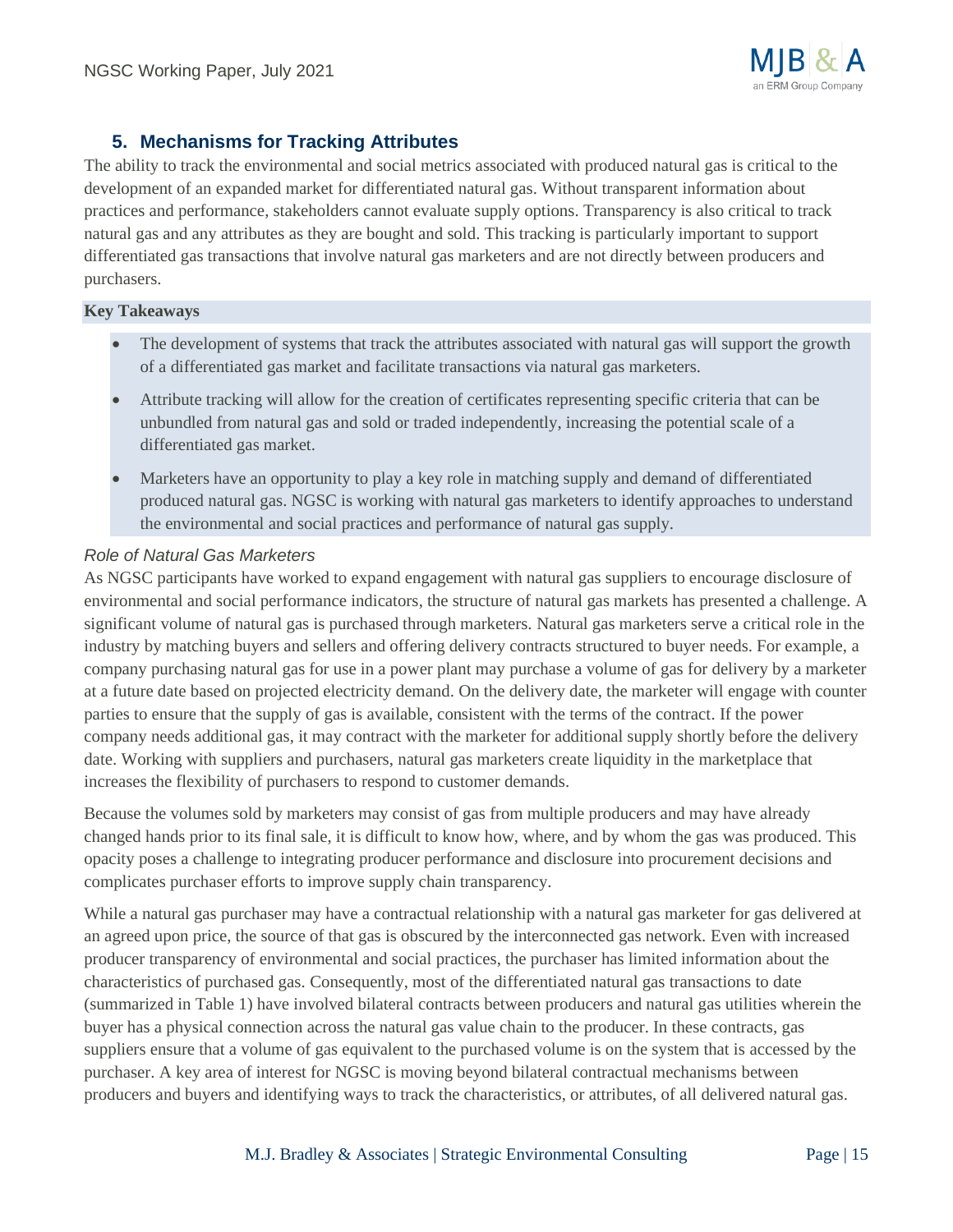# **5. Mechanisms for Tracking Attributes**

The ability to track the environmental and social metrics associated with produced natural gas is critical to the development of an expanded market for differentiated natural gas. Without transparent information about practices and performance, stakeholders cannot evaluate supply options. Transparency is also critical to track natural gas and any attributes as they are bought and sold. This tracking is particularly important to support differentiated gas transactions that involve natural gas marketers and are not directly between producers and purchasers.

#### **Key Takeaways**

- The development of systems that track the attributes associated with natural gas will support the growth of a differentiated gas market and facilitate transactions via natural gas marketers.
- Attribute tracking will allow for the creation of certificates representing specific criteria that can be unbundled from natural gas and sold or traded independently, increasing the potential scale of a differentiated gas market.
- Marketers have an opportunity to play a key role in matching supply and demand of differentiated produced natural gas. NGSC is working with natural gas marketers to identify approaches to understand the environmental and social practices and performance of natural gas supply.

#### *Role of Natural Gas Marketers*

As NGSC participants have worked to expand engagement with natural gas suppliers to encourage disclosure of environmental and social performance indicators, the structure of natural gas markets has presented a challenge. A significant volume of natural gas is purchased through marketers. Natural gas marketers serve a critical role in the industry by matching buyers and sellers and offering delivery contracts structured to buyer needs. For example, a company purchasing natural gas for use in a power plant may purchase a volume of gas for delivery by a marketer at a future date based on projected electricity demand. On the delivery date, the marketer will engage with counter parties to ensure that the supply of gas is available, consistent with the terms of the contract. If the power company needs additional gas, it may contract with the marketer for additional supply shortly before the delivery date. Working with suppliers and purchasers, natural gas marketers create liquidity in the marketplace that increases the flexibility of purchasers to respond to customer demands.

Because the volumes sold by marketers may consist of gas from multiple producers and may have already changed hands prior to its final sale, it is difficult to know how, where, and by whom the gas was produced. This opacity poses a challenge to integrating producer performance and disclosure into procurement decisions and complicates purchaser efforts to improve supply chain transparency.

While a natural gas purchaser may have a contractual relationship with a natural gas marketer for gas delivered at an agreed upon price, the source of that gas is obscured by the interconnected gas network. Even with increased producer transparency of environmental and social practices, the purchaser has limited information about the characteristics of purchased gas. Consequently, most of the differentiated natural gas transactions to date (summarized in Table 1) have involved bilateral contracts between producers and natural gas utilities wherein the buyer has a physical connection across the natural gas value chain to the producer. In these contracts, gas suppliers ensure that a volume of gas equivalent to the purchased volume is on the system that is accessed by the purchaser. A key area of interest for NGSC is moving beyond bilateral contractual mechanisms between producers and buyers and identifying ways to track the characteristics, or attributes, of all delivered natural gas.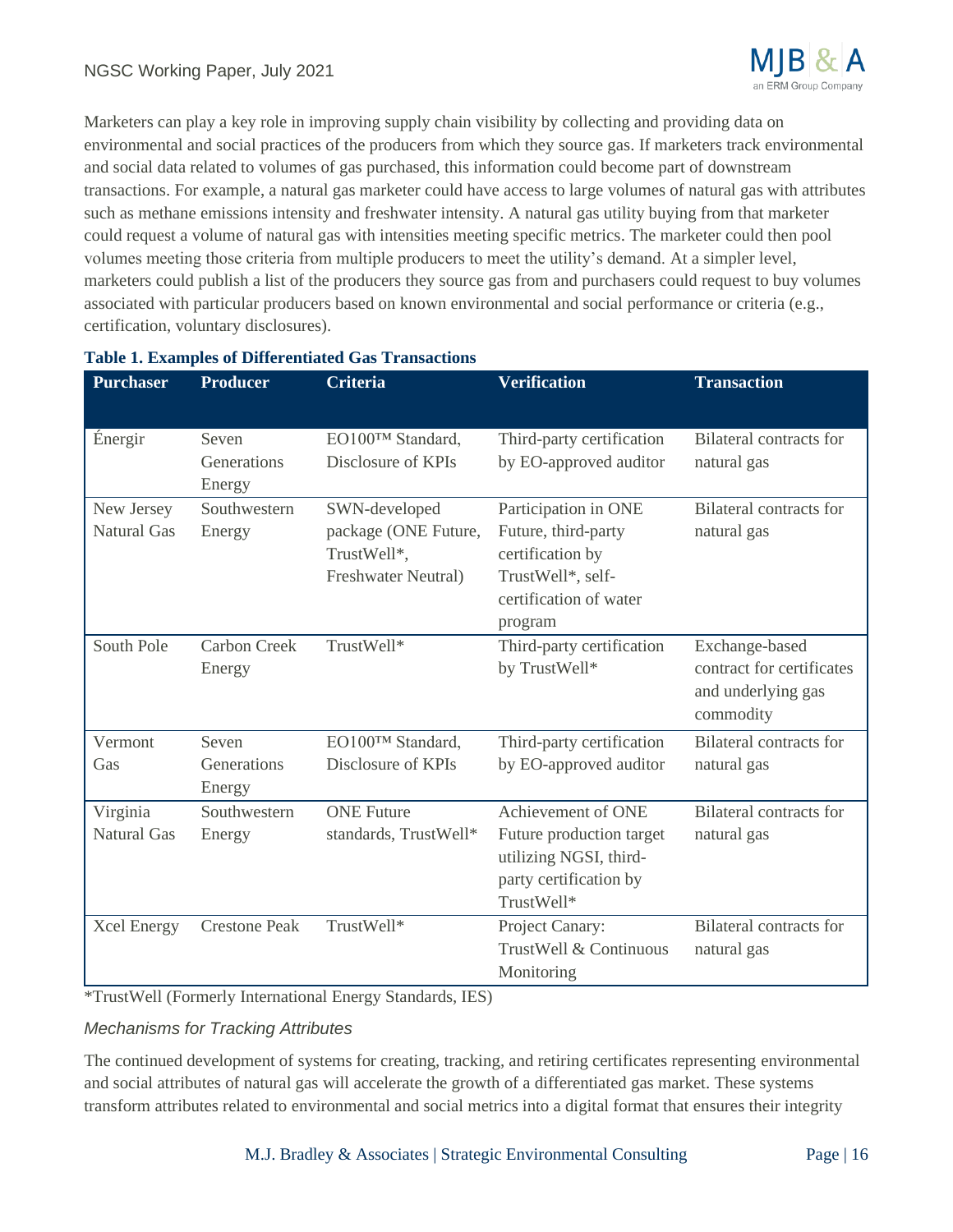

Marketers can play a key role in improving supply chain visibility by collecting and providing data on environmental and social practices of the producers from which they source gas. If marketers track environmental and social data related to volumes of gas purchased, this information could become part of downstream transactions. For example, a natural gas marketer could have access to large volumes of natural gas with attributes such as methane emissions intensity and freshwater intensity. A natural gas utility buying from that marketer could request a volume of natural gas with intensities meeting specific metrics. The marketer could then pool volumes meeting those criteria from multiple producers to meet the utility's demand. At a simpler level, marketers could publish a list of the producers they source gas from and purchasers could request to buy volumes associated with particular producers based on known environmental and social performance or criteria (e.g., certification, voluntary disclosures).

| <b>Purchaser</b>                 | <b>Producer</b>                | <b>Criteria</b>                                                             | <b>Verification</b>                                                                                                       | <b>Transaction</b>                                                             |
|----------------------------------|--------------------------------|-----------------------------------------------------------------------------|---------------------------------------------------------------------------------------------------------------------------|--------------------------------------------------------------------------------|
| Énergir                          | Seven<br>Generations<br>Energy | EO100™ Standard,<br>Disclosure of KPIs                                      | Third-party certification<br>by EO-approved auditor                                                                       | Bilateral contracts for<br>natural gas                                         |
| New Jersey<br><b>Natural Gas</b> | Southwestern<br>Energy         | SWN-developed<br>package (ONE Future,<br>TrustWell*,<br>Freshwater Neutral) | Participation in ONE<br>Future, third-party<br>certification by<br>TrustWell*, self-<br>certification of water<br>program | <b>Bilateral contracts for</b><br>natural gas                                  |
| South Pole                       | <b>Carbon Creek</b><br>Energy  | TrustWell*                                                                  | Third-party certification<br>by TrustWell*                                                                                | Exchange-based<br>contract for certificates<br>and underlying gas<br>commodity |
| Vermont<br>Gas                   | Seven<br>Generations<br>Energy | EO100™ Standard,<br>Disclosure of KPIs                                      | Third-party certification<br>by EO-approved auditor                                                                       | <b>Bilateral contracts for</b><br>natural gas                                  |
| Virginia<br><b>Natural Gas</b>   | Southwestern<br>Energy         | <b>ONE Future</b><br>standards, TrustWell*                                  | Achievement of ONE<br>Future production target<br>utilizing NGSI, third-<br>party certification by<br>TrustWell*          | <b>Bilateral contracts for</b><br>natural gas                                  |
| <b>Xcel Energy</b>               | <b>Crestone Peak</b>           | TrustWell*                                                                  | Project Canary:<br>TrustWell & Continuous<br>Monitoring                                                                   | <b>Bilateral contracts for</b><br>natural gas                                  |

#### **Table 1. Examples of Differentiated Gas Transactions**

\*TrustWell (Formerly International Energy Standards, IES)

#### *Mechanisms for Tracking Attributes*

The continued development of systems for creating, tracking, and retiring certificates representing environmental and social attributes of natural gas will accelerate the growth of a differentiated gas market. These systems transform attributes related to environmental and social metrics into a digital format that ensures their integrity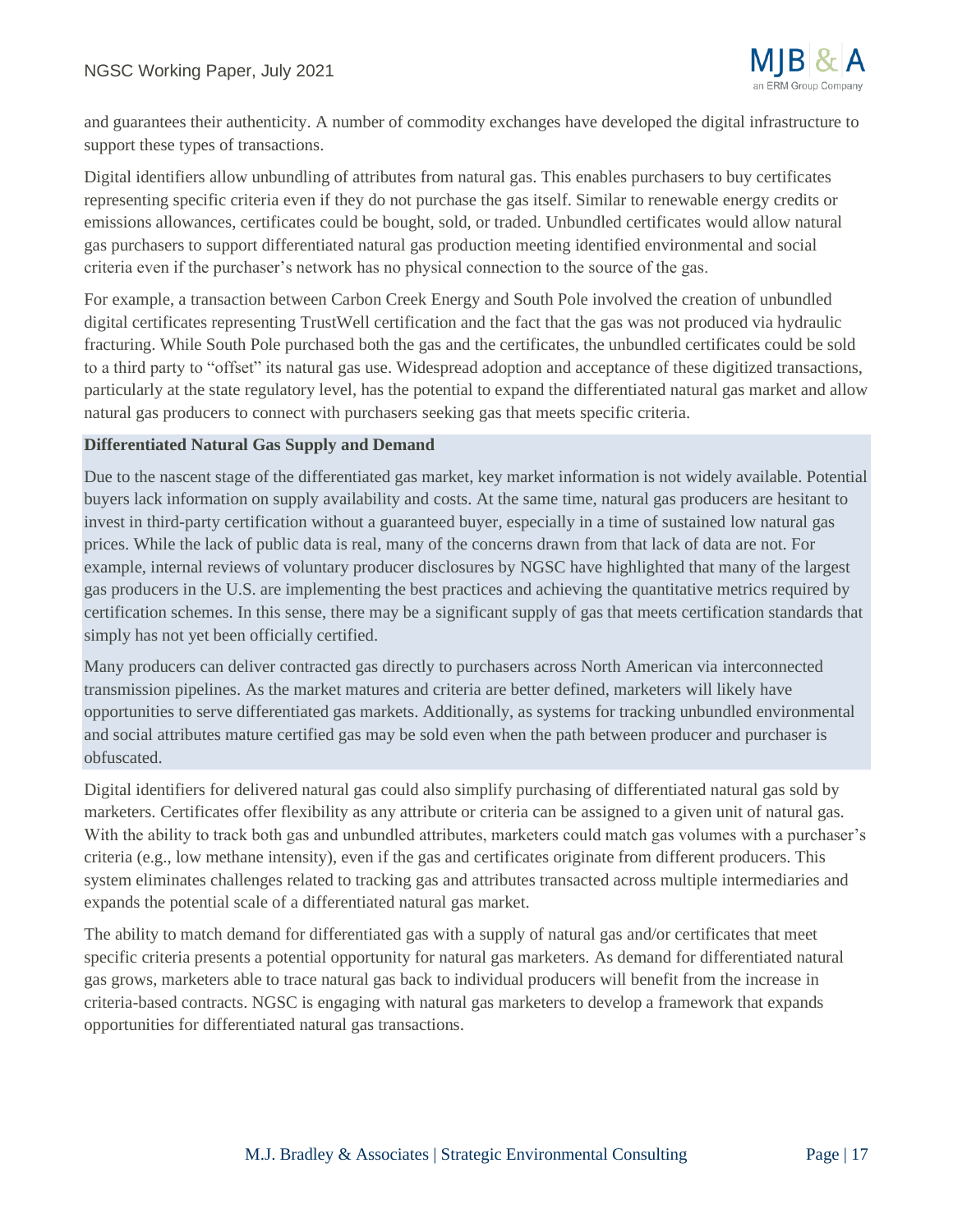

and guarantees their authenticity. A number of commodity exchanges have developed the digital infrastructure to support these types of transactions.

Digital identifiers allow unbundling of attributes from natural gas. This enables purchasers to buy certificates representing specific criteria even if they do not purchase the gas itself. Similar to renewable energy credits or emissions allowances, certificates could be bought, sold, or traded. Unbundled certificates would allow natural gas purchasers to support differentiated natural gas production meeting identified environmental and social criteria even if the purchaser's network has no physical connection to the source of the gas.

For example, a transaction between Carbon Creek Energy and South Pole involved the creation of unbundled digital certificates representing TrustWell certification and the fact that the gas was not produced via hydraulic fracturing. While South Pole purchased both the gas and the certificates, the unbundled certificates could be sold to a third party to "offset" its natural gas use. Widespread adoption and acceptance of these digitized transactions, particularly at the state regulatory level, has the potential to expand the differentiated natural gas market and allow natural gas producers to connect with purchasers seeking gas that meets specific criteria.

#### **Differentiated Natural Gas Supply and Demand**

Due to the nascent stage of the differentiated gas market, key market information is not widely available. Potential buyers lack information on supply availability and costs. At the same time, natural gas producers are hesitant to invest in third-party certification without a guaranteed buyer, especially in a time of sustained low natural gas prices. While the lack of public data is real, many of the concerns drawn from that lack of data are not. For example, internal reviews of voluntary producer disclosures by NGSC have highlighted that many of the largest gas producers in the U.S. are implementing the best practices and achieving the quantitative metrics required by certification schemes. In this sense, there may be a significant supply of gas that meets certification standards that simply has not yet been officially certified.

Many producers can deliver contracted gas directly to purchasers across North American via interconnected transmission pipelines. As the market matures and criteria are better defined, marketers will likely have opportunities to serve differentiated gas markets. Additionally, as systems for tracking unbundled environmental and social attributes mature certified gas may be sold even when the path between producer and purchaser is obfuscated.

Digital identifiers for delivered natural gas could also simplify purchasing of differentiated natural gas sold by marketers. Certificates offer flexibility as any attribute or criteria can be assigned to a given unit of natural gas. With the ability to track both gas and unbundled attributes, marketers could match gas volumes with a purchaser's criteria (e.g., low methane intensity), even if the gas and certificates originate from different producers. This system eliminates challenges related to tracking gas and attributes transacted across multiple intermediaries and expands the potential scale of a differentiated natural gas market.

The ability to match demand for differentiated gas with a supply of natural gas and/or certificates that meet specific criteria presents a potential opportunity for natural gas marketers. As demand for differentiated natural gas grows, marketers able to trace natural gas back to individual producers will benefit from the increase in criteria-based contracts. NGSC is engaging with natural gas marketers to develop a framework that expands opportunities for differentiated natural gas transactions.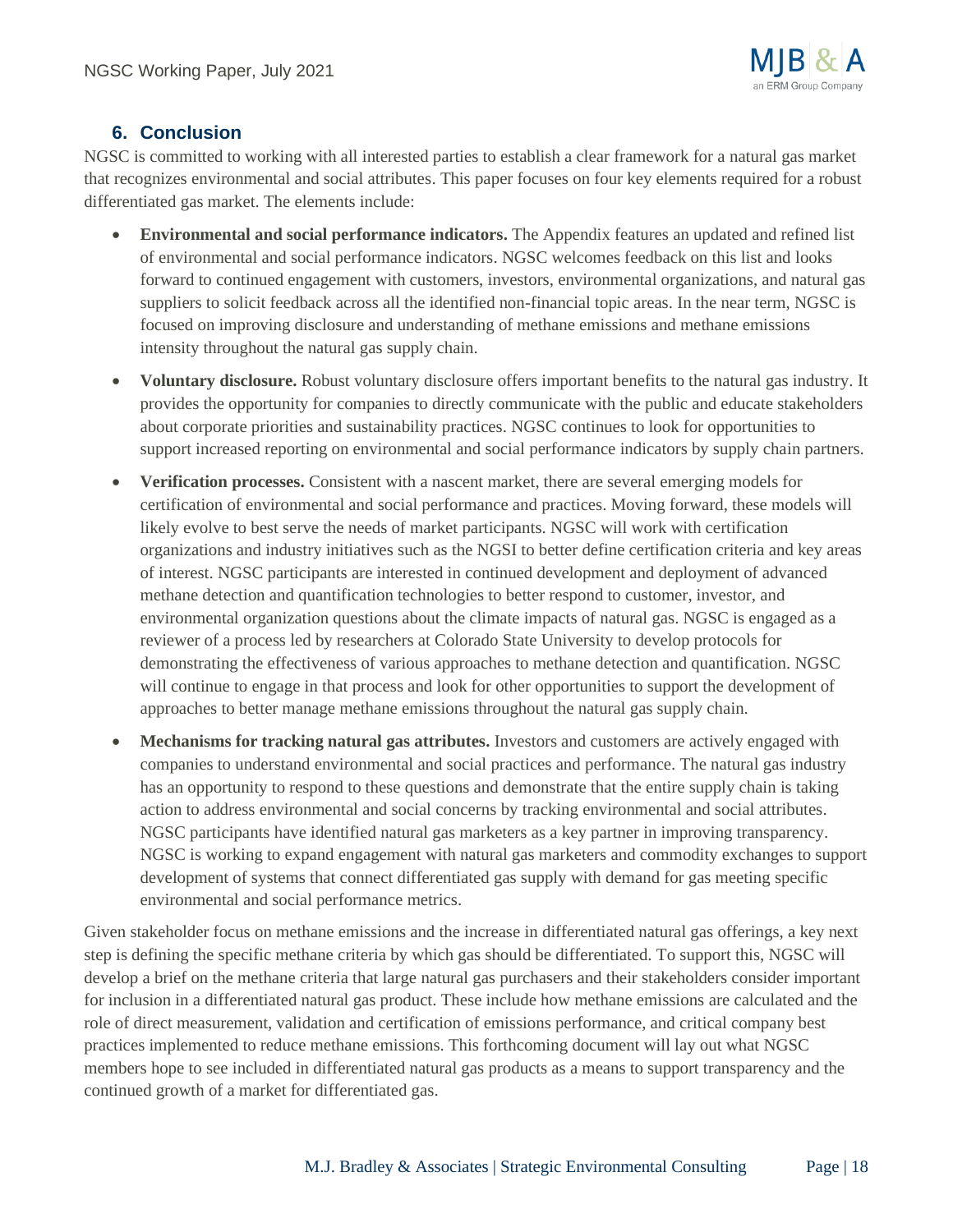# **6. Conclusion**

NGSC is committed to working with all interested parties to establish a clear framework for a natural gas market that recognizes environmental and social attributes. This paper focuses on four key elements required for a robust differentiated gas market. The elements include:

- **Environmental and social performance indicators.** The Appendix features an updated and refined list of environmental and social performance indicators. NGSC welcomes feedback on this list and looks forward to continued engagement with customers, investors, environmental organizations, and natural gas suppliers to solicit feedback across all the identified non-financial topic areas. In the near term, NGSC is focused on improving disclosure and understanding of methane emissions and methane emissions intensity throughout the natural gas supply chain.
- **Voluntary disclosure.** Robust voluntary disclosure offers important benefits to the natural gas industry. It provides the opportunity for companies to directly communicate with the public and educate stakeholders about corporate priorities and sustainability practices. NGSC continues to look for opportunities to support increased reporting on environmental and social performance indicators by supply chain partners.
- **Verification processes.** Consistent with a nascent market, there are several emerging models for certification of environmental and social performance and practices. Moving forward, these models will likely evolve to best serve the needs of market participants. NGSC will work with certification organizations and industry initiatives such as the NGSI to better define certification criteria and key areas of interest. NGSC participants are interested in continued development and deployment of advanced methane detection and quantification technologies to better respond to customer, investor, and environmental organization questions about the climate impacts of natural gas. NGSC is engaged as a reviewer of a process led by researchers at Colorado State University to develop protocols for demonstrating the effectiveness of various approaches to methane detection and quantification. NGSC will continue to engage in that process and look for other opportunities to support the development of approaches to better manage methane emissions throughout the natural gas supply chain.
- **Mechanisms for tracking natural gas attributes.** Investors and customers are actively engaged with companies to understand environmental and social practices and performance. The natural gas industry has an opportunity to respond to these questions and demonstrate that the entire supply chain is taking action to address environmental and social concerns by tracking environmental and social attributes. NGSC participants have identified natural gas marketers as a key partner in improving transparency. NGSC is working to expand engagement with natural gas marketers and commodity exchanges to support development of systems that connect differentiated gas supply with demand for gas meeting specific environmental and social performance metrics.

Given stakeholder focus on methane emissions and the increase in differentiated natural gas offerings, a key next step is defining the specific methane criteria by which gas should be differentiated. To support this, NGSC will develop a brief on the methane criteria that large natural gas purchasers and their stakeholders consider important for inclusion in a differentiated natural gas product. These include how methane emissions are calculated and the role of direct measurement, validation and certification of emissions performance, and critical company best practices implemented to reduce methane emissions. This forthcoming document will lay out what NGSC members hope to see included in differentiated natural gas products as a means to support transparency and the continued growth of a market for differentiated gas.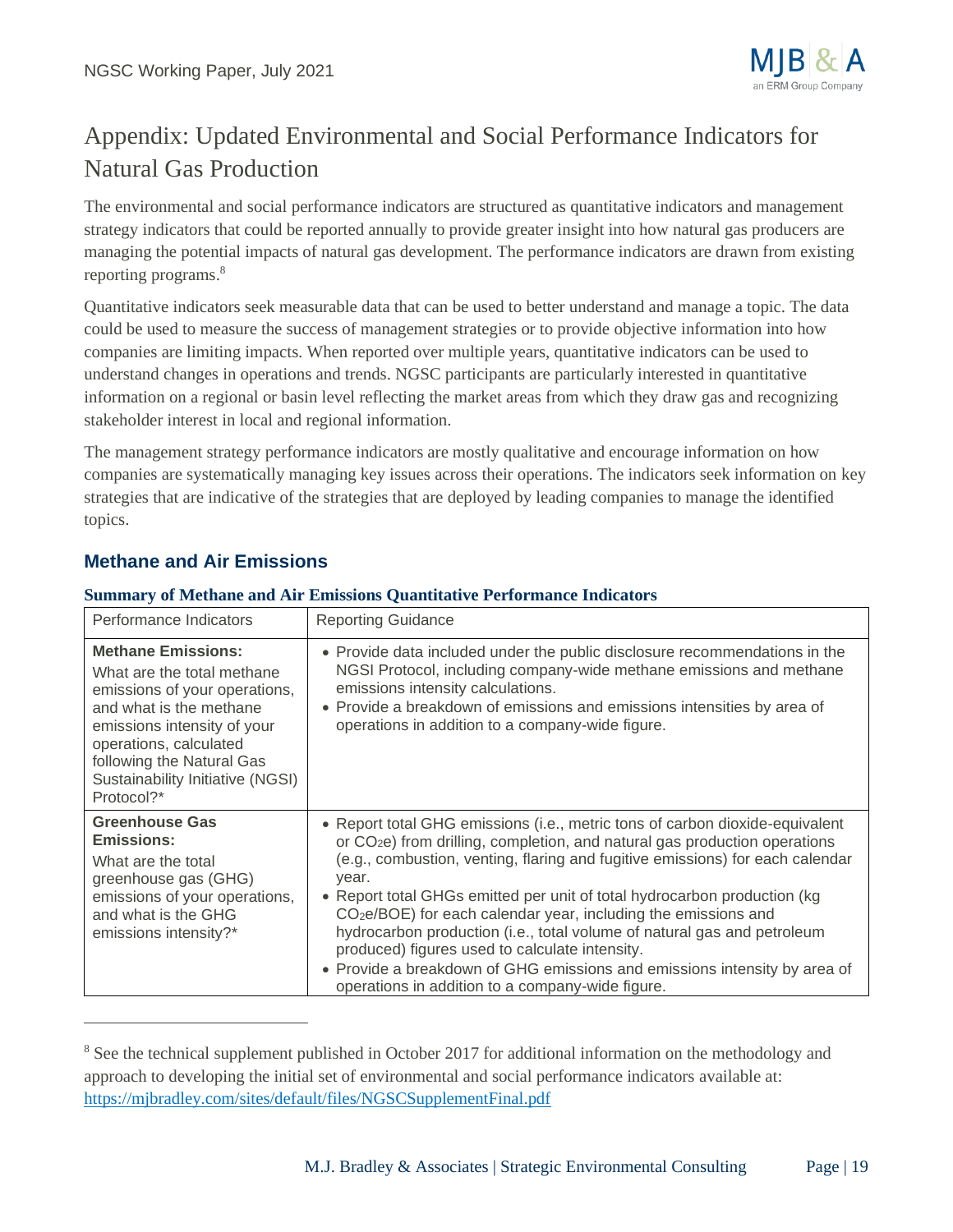

# Appendix: Updated Environmental and Social Performance Indicators for Natural Gas Production

The environmental and social performance indicators are structured as quantitative indicators and management strategy indicators that could be reported annually to provide greater insight into how natural gas producers are managing the potential impacts of natural gas development. The performance indicators are drawn from existing reporting programs. 8

Quantitative indicators seek measurable data that can be used to better understand and manage a topic. The data could be used to measure the success of management strategies or to provide objective information into how companies are limiting impacts. When reported over multiple years, quantitative indicators can be used to understand changes in operations and trends. NGSC participants are particularly interested in quantitative information on a regional or basin level reflecting the market areas from which they draw gas and recognizing stakeholder interest in local and regional information.

The management strategy performance indicators are mostly qualitative and encourage information on how companies are systematically managing key issues across their operations. The indicators seek information on key strategies that are indicative of the strategies that are deployed by leading companies to manage the identified topics.

## **Methane and Air Emissions**

#### **Summary of Methane and Air Emissions Quantitative Performance Indicators**

| Performance Indicators                                                                                                                                                                                                                                      | <b>Reporting Guidance</b>                                                                                                                                                                                                                                                                                                                                                                                                                                                                                                                                                                                                                                                       |
|-------------------------------------------------------------------------------------------------------------------------------------------------------------------------------------------------------------------------------------------------------------|---------------------------------------------------------------------------------------------------------------------------------------------------------------------------------------------------------------------------------------------------------------------------------------------------------------------------------------------------------------------------------------------------------------------------------------------------------------------------------------------------------------------------------------------------------------------------------------------------------------------------------------------------------------------------------|
| <b>Methane Emissions:</b><br>What are the total methane<br>emissions of your operations,<br>and what is the methane<br>emissions intensity of your<br>operations, calculated<br>following the Natural Gas<br>Sustainability Initiative (NGSI)<br>Protocol?* | • Provide data included under the public disclosure recommendations in the<br>NGSI Protocol, including company-wide methane emissions and methane<br>emissions intensity calculations.<br>• Provide a breakdown of emissions and emissions intensities by area of<br>operations in addition to a company-wide figure.                                                                                                                                                                                                                                                                                                                                                           |
| <b>Greenhouse Gas</b><br><b>Emissions:</b><br>What are the total<br>greenhouse gas (GHG)<br>emissions of your operations,<br>and what is the GHG<br>emissions intensity?*                                                                                   | • Report total GHG emissions (i.e., metric tons of carbon dioxide-equivalent<br>or CO <sub>2</sub> e) from drilling, completion, and natural gas production operations<br>(e.g., combustion, venting, flaring and fugitive emissions) for each calendar<br>year.<br>• Report total GHGs emitted per unit of total hydrocarbon production (kg)<br>$CO2e/BOE$ ) for each calendar year, including the emissions and<br>hydrocarbon production (i.e., total volume of natural gas and petroleum<br>produced) figures used to calculate intensity.<br>• Provide a breakdown of GHG emissions and emissions intensity by area of<br>operations in addition to a company-wide figure. |

<sup>&</sup>lt;sup>8</sup> See the technical supplement published in October 2017 for additional information on the methodology and approach to developing the initial set of environmental and social performance indicators available at: <https://mjbradley.com/sites/default/files/NGSCSupplementFinal.pdf>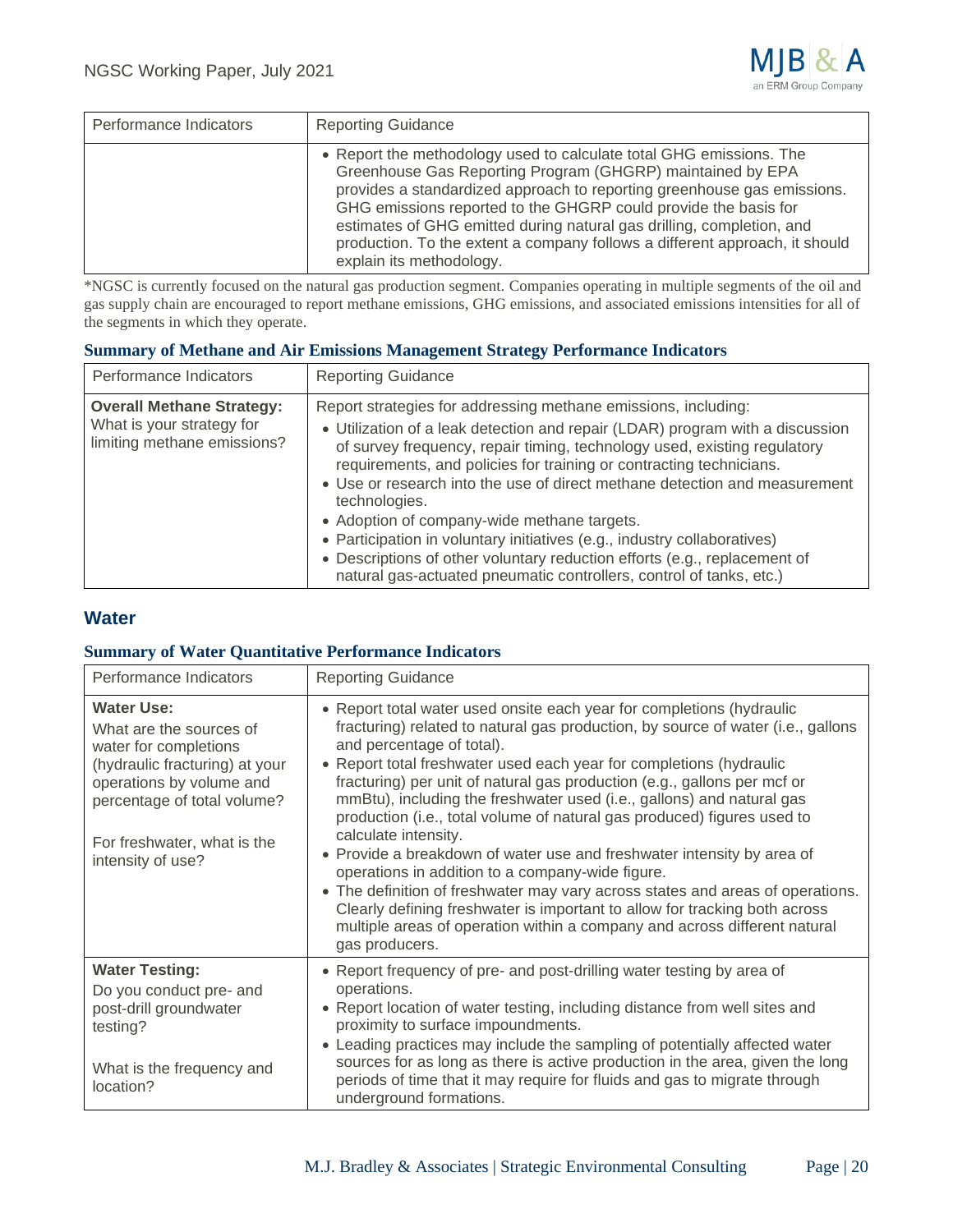

| Performance Indicators | <b>Reporting Guidance</b>                                                                                                                                                                                                                                                                                                                                                                                                                                           |
|------------------------|---------------------------------------------------------------------------------------------------------------------------------------------------------------------------------------------------------------------------------------------------------------------------------------------------------------------------------------------------------------------------------------------------------------------------------------------------------------------|
|                        | • Report the methodology used to calculate total GHG emissions. The<br>Greenhouse Gas Reporting Program (GHGRP) maintained by EPA<br>provides a standardized approach to reporting greenhouse gas emissions.<br>GHG emissions reported to the GHGRP could provide the basis for<br>estimates of GHG emitted during natural gas drilling, completion, and<br>production. To the extent a company follows a different approach, it should<br>explain its methodology. |

\*NGSC is currently focused on the natural gas production segment. Companies operating in multiple segments of the oil and gas supply chain are encouraged to report methane emissions, GHG emissions, and associated emissions intensities for all of the segments in which they operate.

#### **Summary of Methane and Air Emissions Management Strategy Performance Indicators**

| Performance Indicators                                                                       | <b>Reporting Guidance</b>                                                                                                                                                                                                                                                                                                                                                                                                                                                                                                                                                                                                                                                        |
|----------------------------------------------------------------------------------------------|----------------------------------------------------------------------------------------------------------------------------------------------------------------------------------------------------------------------------------------------------------------------------------------------------------------------------------------------------------------------------------------------------------------------------------------------------------------------------------------------------------------------------------------------------------------------------------------------------------------------------------------------------------------------------------|
| <b>Overall Methane Strategy:</b><br>What is your strategy for<br>limiting methane emissions? | Report strategies for addressing methane emissions, including:<br>• Utilization of a leak detection and repair (LDAR) program with a discussion<br>of survey frequency, repair timing, technology used, existing regulatory<br>requirements, and policies for training or contracting technicians.<br>• Use or research into the use of direct methane detection and measurement<br>technologies.<br>• Adoption of company-wide methane targets.<br>• Participation in voluntary initiatives (e.g., industry collaboratives)<br>• Descriptions of other voluntary reduction efforts (e.g., replacement of<br>natural gas-actuated pneumatic controllers, control of tanks, etc.) |

## **Water**

#### **Summary of Water Quantitative Performance Indicators**

| Performance Indicators                                                                                                                                                                                                 | <b>Reporting Guidance</b>                                                                                                                                                                                                                                                                                                                                                                                                                                                                                                                                                                                                                                                                                                                                                                                                                                                                                          |
|------------------------------------------------------------------------------------------------------------------------------------------------------------------------------------------------------------------------|--------------------------------------------------------------------------------------------------------------------------------------------------------------------------------------------------------------------------------------------------------------------------------------------------------------------------------------------------------------------------------------------------------------------------------------------------------------------------------------------------------------------------------------------------------------------------------------------------------------------------------------------------------------------------------------------------------------------------------------------------------------------------------------------------------------------------------------------------------------------------------------------------------------------|
| <b>Water Use:</b><br>What are the sources of<br>water for completions<br>(hydraulic fracturing) at your<br>operations by volume and<br>percentage of total volume?<br>For freshwater, what is the<br>intensity of use? | • Report total water used onsite each year for completions (hydraulic<br>fracturing) related to natural gas production, by source of water (i.e., gallons<br>and percentage of total).<br>• Report total freshwater used each year for completions (hydraulic<br>fracturing) per unit of natural gas production (e.g., gallons per mcf or<br>mmBtu), including the freshwater used (i.e., gallons) and natural gas<br>production (i.e., total volume of natural gas produced) figures used to<br>calculate intensity.<br>• Provide a breakdown of water use and freshwater intensity by area of<br>operations in addition to a company-wide figure.<br>• The definition of freshwater may vary across states and areas of operations.<br>Clearly defining freshwater is important to allow for tracking both across<br>multiple areas of operation within a company and across different natural<br>gas producers. |
| <b>Water Testing:</b><br>Do you conduct pre- and<br>post-drill groundwater<br>testing?<br>What is the frequency and<br>location?                                                                                       | • Report frequency of pre- and post-drilling water testing by area of<br>operations.<br>• Report location of water testing, including distance from well sites and<br>proximity to surface impoundments.<br>• Leading practices may include the sampling of potentially affected water<br>sources for as long as there is active production in the area, given the long<br>periods of time that it may require for fluids and gas to migrate through<br>underground formations.                                                                                                                                                                                                                                                                                                                                                                                                                                    |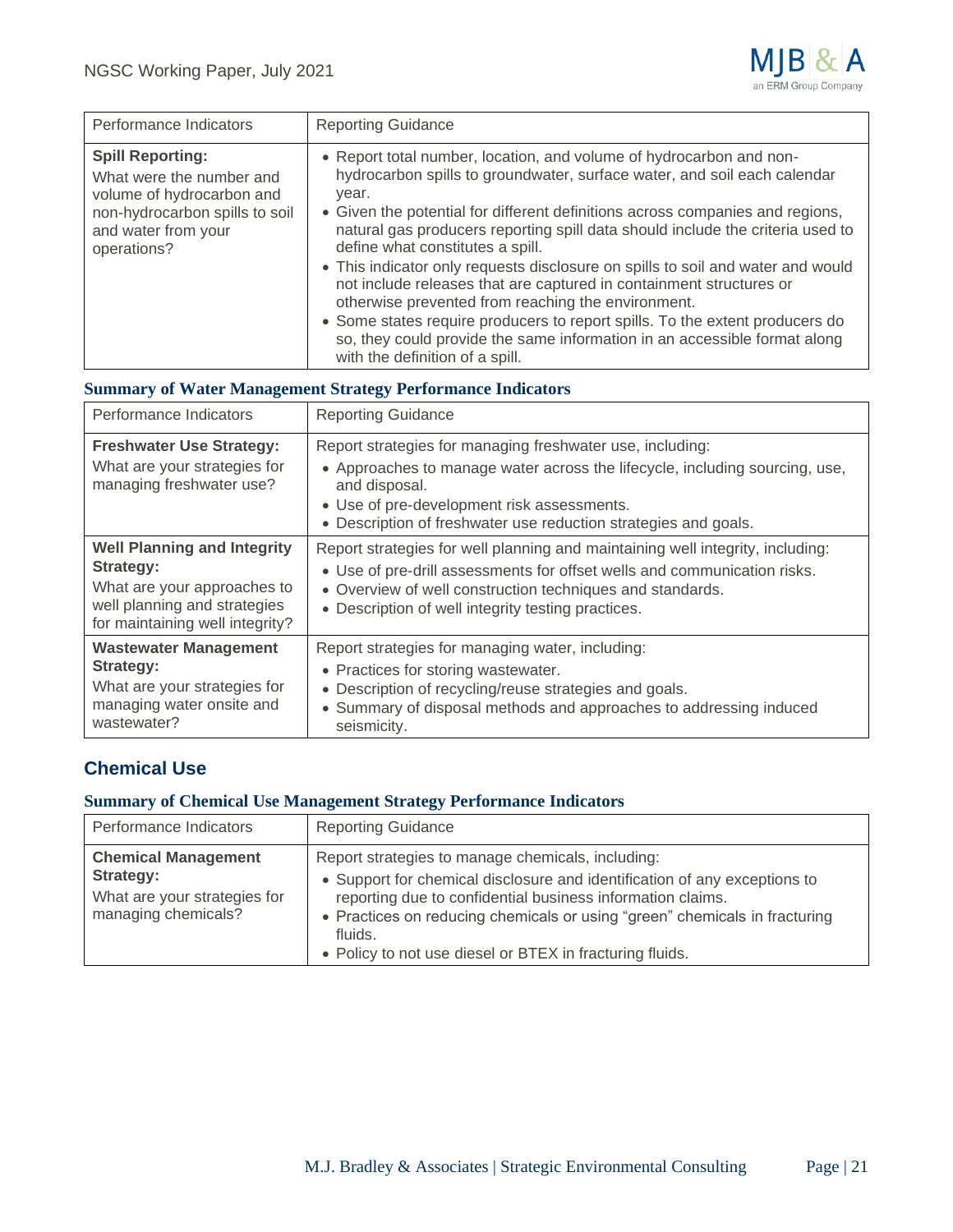

| Performance Indicators                                                                                                                                   | <b>Reporting Guidance</b>                                                                                                                                                                                                                                                                                                                                                                                                                                                                                                                                                                                                                                                                                                                                                       |
|----------------------------------------------------------------------------------------------------------------------------------------------------------|---------------------------------------------------------------------------------------------------------------------------------------------------------------------------------------------------------------------------------------------------------------------------------------------------------------------------------------------------------------------------------------------------------------------------------------------------------------------------------------------------------------------------------------------------------------------------------------------------------------------------------------------------------------------------------------------------------------------------------------------------------------------------------|
| <b>Spill Reporting:</b><br>What were the number and<br>volume of hydrocarbon and<br>non-hydrocarbon spills to soil<br>and water from your<br>operations? | • Report total number, location, and volume of hydrocarbon and non-<br>hydrocarbon spills to groundwater, surface water, and soil each calendar<br>year.<br>• Given the potential for different definitions across companies and regions,<br>natural gas producers reporting spill data should include the criteria used to<br>define what constitutes a spill.<br>• This indicator only requests disclosure on spills to soil and water and would<br>not include releases that are captured in containment structures or<br>otherwise prevented from reaching the environment.<br>• Some states require producers to report spills. To the extent producers do<br>so, they could provide the same information in an accessible format along<br>with the definition of a spill. |

## **Summary of Water Management Strategy Performance Indicators**

| Performance Indicators                                                                                                                            | <b>Reporting Guidance</b>                                                                                                                                                                                                                                                     |
|---------------------------------------------------------------------------------------------------------------------------------------------------|-------------------------------------------------------------------------------------------------------------------------------------------------------------------------------------------------------------------------------------------------------------------------------|
| <b>Freshwater Use Strategy:</b><br>What are your strategies for<br>managing freshwater use?                                                       | Report strategies for managing freshwater use, including:<br>• Approaches to manage water across the lifecycle, including sourcing, use,<br>and disposal.<br>• Use of pre-development risk assessments.<br>• Description of freshwater use reduction strategies and goals.    |
| <b>Well Planning and Integrity</b><br>Strategy:<br>What are your approaches to<br>well planning and strategies<br>for maintaining well integrity? | Report strategies for well planning and maintaining well integrity, including:<br>• Use of pre-drill assessments for offset wells and communication risks.<br>• Overview of well construction techniques and standards.<br>• Description of well integrity testing practices. |
| <b>Wastewater Management</b><br><b>Strategy:</b><br>What are your strategies for<br>managing water onsite and<br>wastewater?                      | Report strategies for managing water, including:<br>• Practices for storing wastewater.<br>• Description of recycling/reuse strategies and goals.<br>• Summary of disposal methods and approaches to addressing induced<br>seismicity.                                        |

# **Chemical Use**

#### **Summary of Chemical Use Management Strategy Performance Indicators**

| Performance Indicators                                                                         | <b>Reporting Guidance</b>                                                                                                                                                                                                                                                                                                                         |
|------------------------------------------------------------------------------------------------|---------------------------------------------------------------------------------------------------------------------------------------------------------------------------------------------------------------------------------------------------------------------------------------------------------------------------------------------------|
| <b>Chemical Management</b><br>Strategy:<br>What are your strategies for<br>managing chemicals? | Report strategies to manage chemicals, including:<br>• Support for chemical disclosure and identification of any exceptions to<br>reporting due to confidential business information claims.<br>• Practices on reducing chemicals or using "green" chemicals in fracturing<br>fluids.<br>• Policy to not use diesel or BTEX in fracturing fluids. |